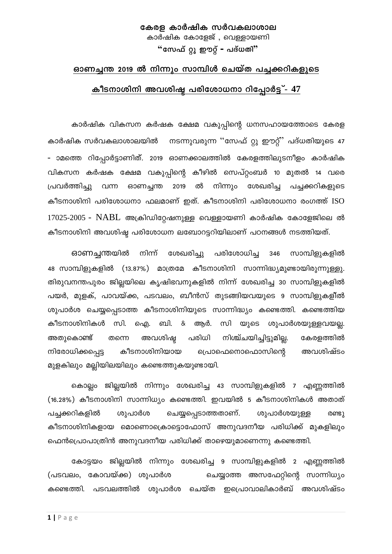#### കേരള കാർഷിക സർവകലാശാല കാർഷിക കോളേജ് , വെള്ളായണി

"സേഫ് റ്റൂ ഈറ്റ് - പദ്ധതി"

#### ഓണച്ചന്ത 2019 ൽ നിന്നും സാമ്പിൾ ചെയ്ത പച്ചക്കറികളുടെ

#### കീടനാശിനി അവശിഷ്ട പരിശോധനാ റിപ്പോർട്ട് - 47

കാർഷിക വികസന കർഷക ക്ഷേമ വകുപ്പിന്റെ ധനസഹായത്തോടെ കേരള കാർഷിക സർവകലാശാലയിൽ നടന്നുവരുന്ന ''സേഫ് റ്റു ഈറ്റ്' പദ്ധതിയുടെ 47 - ാമത്തെ റിപ്പോർട്ടാണിത്. 2019 ഓണക്കാലത്തിൽ കേരളത്തിലുടനീളം കാർഷിക വികസന കർഷക ക്ഷേമ വകുപ്പിന്റെ കീഴിൽ സെപ്റ്റംബർ 10 മുതൽ 14 വരെ ഓണച്ചന്ത 2019 ൽ നിന്നും ശേഖരിച പ്രവർത്തിച്ചു വന്ന പച്ചക്കറികളുടെ കീടനാശിനി പരിശോധനാ ഫലമാണ് ഇത്. കീടനാശിനി പരിശോധനാ രംഗത്ത് ISO  $17025-2005$  - NABL അക്രിഡിറ്റേഷനുള്ള വെള്ളായണി കാർഷിക കോളേജിലെ ൽ കീടനാശിനി അവശിഷ്ട പരിശോധന ലബോറട്ടറിയിലാണ് പഠനങ്ങൾ നടത്തിയത്.

സാമ്പിളുകളിൽ ഓണച്ചന്തയിൽ നിന്ന് ശേഖരിച്ചു പരിശോധിച്ച 346 48 സാമ്പിളുകളിൽ (13.87%) മാത്രമേ കീടനാശിനി സാന്നിദ്ധ്യമുണ്ടായിരുന്നുള്ളു. തിരുവനന്തപുരം ജില്ലയിലെ കൃഷിഭവനുകളിൽ നിന്ന് ശേഖരിച്ച 30 സാമ്പിളുകളിൽ പയർ, മുളക്, പാവയ്ക്ക, പടവലം, ബീൻസ് തുടങ്ങിയവയുടെ 9 സാമ്പിളുകളിൽ ശുപാർശ ചെയ്യപ്പെടാത്ത കീടനാശിനിയുടെ സാന്നിദ്ധ്യം കണ്ടെത്തി. കണ്ടെത്തിയ ഐ. കീടനാശിനികൾ സി. ബി. & ആർ. സി യുടെ ശുപാർശയുള്ളവയല്ല. അതുകൊണ്ട് തന്നെ അവശിഷ്ട പരിധി നിശ്ച്ചയിച്ചിട്ടുമില്ല. കേരളത്തിൽ കീടനാശിനിയായ അവശിഷ്ടം നിരോധിക്കപ്പെട്ട പ്രൊഫെനൊഫൊസിന്റെ മുളകിലും മല്ലിയിലയിലും കണ്ടെത്തുകയുണ്ടായി.

ജില്ലയിൽ നിന്നും ശേഖരിച്ച 43 സാമ്പിളുകളിൽ 7 എണ്ണത്തിൽ കൊല്ലം (16.28%) കീടനാശിനി സാന്നിധ്യം കണ്ടെത്തി. ഇവയിൽ 5 കീടനാശിനികൾ അതാത് പച്ചക്കറികളിൽ ശുപാർശ ചെയ്യപ്പെടാത്തതാണ്. ശുപാർശയുള്ള രണ്ടു കീടനാശിനികളായ മൊണൊക്രൊട്ടൊഫോസ് അനുവദനീയ പരിധിക്ക് മുകളിലും ഫെൻപ്രൊപാത്രിൻ അനുവദനീയ പരിധിക്ക് താഴെയുമാണെന്നു കണ്ടെത്തി.

കോട്ടയം ജില്ലയിൽ നിന്നും ശേഖരിച്ച 9 സാമ്പിളുകളിൽ 2 എണ്ണത്തിൽ (പടവലം, കോവയ്ക്ക) ശുപാർശ ചെയ്യാത്ത അസഫേറ്റിന്റെ സാന്നിധ്യം കണ്ടെത്തി. \_പടവലത്തിൽ ശുപാർശ ചെയ്ത ഇപ്രൊവാലികാർബ് അവശിഷ്ട<mark>ം</mark>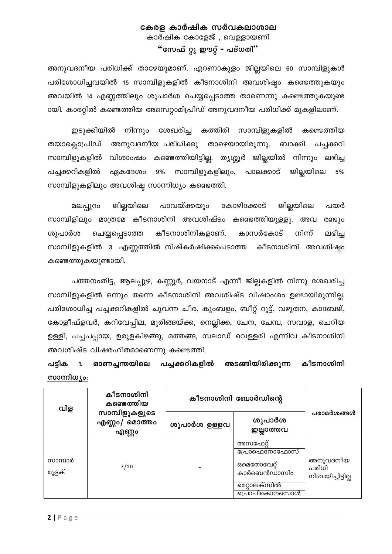#### കേരള കാർഷിക സർവകലാശാല കാർഷിക കോളേജ് , വെള്ളായണി "സേഫ് റ്റു ഈറ്റ് - പദ്ധതി"

അനുവദനീയ പരിധിക്ക് താഴേയുമാണ്. എറണാകുളം ജില്ലയിലെ 60 സാമ്പിളുകൾ പരിശോധിച്ചവയിൽ 15 സാമ്പിളുകളിൽ കീടനാശിനി അവശിഷ്ടം കണ്ടെത്തുകയും അവയിൽ 14 എണ്ണത്തിലും ശുപാർശ ചെയ്യപ്പെടാത്ത താണെന്നു കണ്ടെത്തുകയുണ്ട ായി. കാരറ്റിൽ കണ്ടെത്തിയ അസെറ്റാമിപ്രിഡ് അനുവദനീയ പരിധിക്ക് മുകളിലാണ്.

ശേഖരിച്ച കത്തിരി സാമ്പിളുകളിൽ ഇടുക്കിയിൽ നിന്നും കണ്ടെത്തിയ തയാക്ലൊപ്രിഡ് അനുവദനീയ പരിധിക്കു താഴെയായിരുന്നു. ബാക്കി പച്ചക്കറി സാമ്പിളുകളിൽ വിശാംഷം കണ്ടെത്തിയിട്ടില്ല. തൃശ്ശൂർ ജില്ലയിൽ നിന്നും ലഭിച്ച സാമ്പിളുകളിലും, പച്ചക്കറികളിൽ ഏകദേശം  $9\%$ പാലക്കാട് ജില്ലയിലെ 5% സാമ്പിളുകളിലും അവശിഷ്ട സാന്നിധ്യം കണ്ടെത്തി.

ജില്ലയിലെ പാവയ്ക്കയും കോഴിക്കോട് ജില്ലയിലെ മലപ്പുറം പയർ സാമ്പിളിലും മാത്രമേ കീടനാശിനി അവശിഷ്ടം കണ്ടെത്തിയുള്ളു. അവ രണ്ടുo ശുപാർശ ചെയ്യപ്പെടാത്ത കീടനാശിനികളാണ്. കാസർകോട് നിന്ന് ലഭിച്ച സാമ്പിളുകളിൽ 3 എണ്ണത്തിൽ നിഷ്കർഷിക്കപെടാത്ത കീടനാശിനി അവശിഷ്ടം കണ്ടെത്തുകയുണ്ടായി.

പത്തനംതിട്ട, ആലപ്പുഴ, കണ്ണൂർ, വയനാട് എന്നീ ജില്ലകളിൽ നിന്നു ശേഖരിച്ച സാമ്പിളുകളിൽ ഒന്നും തന്നെ കീടനാശിനി അവശിഷ്ട വിഷാംശം ഉണ്ടായിരുന്നില്ല. പരിശോധിച്ച പച്ചക്കറികളിൽ ചുവന്ന ചീര, കുംബളം, ബീറ്റ് റൂട്ട്, വഴുതന, കാബേജ്, കോളീഫ്ളവർ, കറിവേപ്പില, മുരിങ്ങയ്ക്ക, നെല്ലിക്ക, ചേന, ചേമ്പ, സവാള, ചെറിയ ഉള്ളി, പച്ചപപ്പായ, ഉരുളകിഴങ്ങു, മത്തങ്ങ, സലാഡ് വെള്ളരി എന്നിവ കീടനാശിനി അവശിഷ്ട വിഷരഹിതമാണെന്നു കണ്ടെത്തി.

#### ഓണചുന്തയിലെ പച്ചക്കറികളിൽ അടങ്ങിയിരിക്കുന്ന കീടനാശിനി പടിക  $1<sub>1</sub>$ സാന്നിധ്യം:

| വിള              | കീടനാശിനി<br>കണ്ടെത്തിയ                    | കീടനാശിനി ബോർഡിന്റെ |                                                                                            |                                         |
|------------------|--------------------------------------------|---------------------|--------------------------------------------------------------------------------------------|-----------------------------------------|
|                  | സാമ്പിളുകളുടെ<br>മൊത്തം<br>എണ്ണം/<br>എണ്ണം | ശുപാർശ ഉള്ളവ        | ശുപാർശ<br>ഇല്ലാത്തവ                                                                        | പരാമർശങ്ങൾ                              |
| സാമ്പാർ<br>മുളക് | 7/20                                       |                     | അസഫേറ്<br>പ്രോഫെനോഫോസ്<br><i></i> ഒമെതോവേറ്<br>കാർബെൻഡാസിം<br>മെറ്റാലക്സിൽ<br>പ്രൊപികൊനസൊൾ | അനുവദനീയ<br>പരിധി<br>നിശ്ചയിച്ചിട്ടില്ല |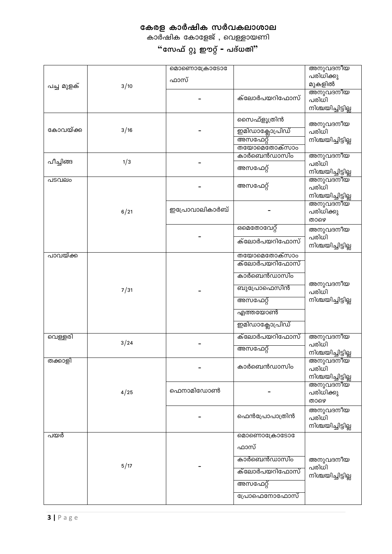കാർഷിക കോളേജ് , വെള്ളായണി

|            |      | മൊണൊക്രോടോ     |                               | അനുവദനീയ           |
|------------|------|----------------|-------------------------------|--------------------|
|            |      | ഫാസ്           |                               | പരിധിക്കു          |
| പച്ച മുളക് | 3/10 |                |                               | മുകളിൽ             |
|            |      |                | ക്ലോർപയറിഫോസ്                 | അനുവദനീയ           |
|            |      |                |                               | പരിധി              |
|            |      |                |                               | നിശ്ചയിച്ചിട്ടില്ല |
|            |      |                | സൈഫ്ളൂത്രിൻ                   | അനുവദനീയ           |
| കോവയ്ക്ക   | 3/16 |                | ഇമിഡാക്ലോപ്രിഡ്               | പരിധി              |
|            |      |                | അസഫേറ്റ്                      | നിശ്ചയിച്ചിട്ടില്ല |
|            |      |                | തയോമെതോക്സാം                  |                    |
|            |      |                | കാർബെൻഡാസിം                   | അനുവദനീയ           |
| പീച്ചിങ്ങ  | 1/3  |                |                               | പരിധി              |
|            |      |                | അസഫേറ്റ്                      | നിശ്ചയിച്ചിട്ടില്ല |
| പടവലം      |      |                |                               | <u>അനുവദനീയ്</u>   |
|            |      |                | അസഫേറ്റ്                      | പരിധി              |
|            |      |                |                               | നിശ്ചയിച്ചിട്ടില്ല |
|            |      | ഇപ്രോവാലികാർബ് |                               | അനുവദനീയ           |
|            | 6/21 |                |                               | പരിധിക്കു<br>താഴെ  |
|            |      |                | ഒമെതോവേറ്റ്                   |                    |
|            |      |                |                               | അനുവദനീയ<br>പരിധി  |
|            |      |                | ക്ലോർപയറിഫോസ്                 | നിശ്ചയിച്ചിട്ടില്ല |
|            |      |                |                               |                    |
| പാവയ്ക്ക   |      |                | തയോമെതോക്സാം<br>ക്ലോർപയറിഫോസ് |                    |
|            |      |                |                               |                    |
|            |      |                | കാർബെൻഡാസിം                   |                    |
|            | 7/31 |                | ബുപ്രോഫെസിൻ                   | അനുവദനീയ           |
|            |      |                |                               | പരിധി              |
|            |      |                | അസഫേറ്റ്                      | നിശ്ചയിച്ചിട്ടില്ല |
|            |      |                | എത്തയോൺ                       |                    |
|            |      |                | ഇമിഡാക്ലോപ്രിഡ്               |                    |
|            |      |                |                               |                    |
| വെള്ളരി    | 3/24 |                | ക്ലോർപയറിഫോസ്                 | അനുവദനീയ<br>പരിധി  |
|            |      |                | അസഫേറ്റ്                      | നിശ്ചയിച്ചിട്ടില്ല |
| തക്കാളി    |      |                |                               | അനുവദനീയ           |
|            |      |                | കാർബെൻഡാസിം                   | പരിധി              |
|            |      |                |                               | നിശ്ചയിച്ചിട്ടില്ല |
|            |      |                |                               | അനുവദനീയ           |
|            | 4/25 | ഫെനാമിഡോൺ      |                               | പരിധിക്കു          |
|            |      |                |                               | താഴെ               |
|            |      |                |                               | അനുവദനീയ           |
|            |      |                | ഫെൻപ്രോപാത്രിൻ                | പരിധി              |
|            |      |                |                               | നിശ്ചയിച്ചിട്ടില്ല |
| പയർ        |      |                | മൊണൊക്രോടോ                    |                    |
|            |      |                | ഫാസ്                          |                    |
|            |      |                | കാർബെൻഡാസിം                   |                    |
|            | 5/17 |                |                               | അനുവദനീയ<br>പരിധി  |
|            |      |                | ക്ലോർപയറിഫോസ്                 | നിശ്ചയിച്ചിട്ടില്ല |
|            |      |                | അസഫേറ്റ്                      |                    |
|            |      |                |                               |                    |
|            |      |                | പ്രോഫെനോഫോസ്                  |                    |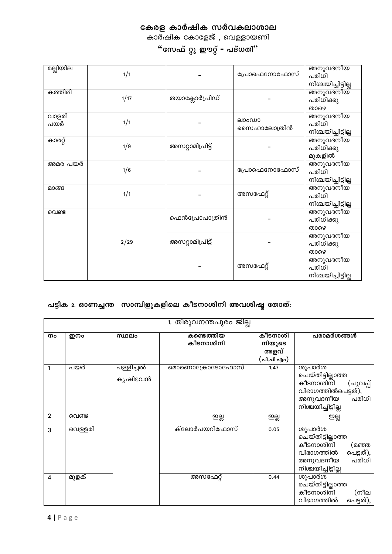കാർഷിക കോളേജ് , വെള്ളായണി

"സേഫ് റ്റു ഈറ്റ് - പദ്ധതി"

| മല്ലിയില     | 1/1  |                  | പ്രോഫെനോഫോസ്         | അനുവദനീയ<br>പരിധി<br>നിശ്ചയിച്ചിട്ടില്ല |
|--------------|------|------------------|----------------------|-----------------------------------------|
| കത്തിരി      | 1/17 | തയാക്ലോർപ്രിഡ്   |                      | അനുവദനീയ<br>പരിധിക്കു<br>താഴെ           |
| വാളരി<br>പയർ | 1/1  |                  | ലാംഡാ<br>സൈഹാലോത്രിൻ | അനുവദനീയ<br>പരിധി<br>നിശ്ചയിച്ചിട്ടില്ല |
| കാരറ്റ്      | 1/9  | അസറ്റാമിപ്രിട്ട് |                      | അനുവദനീയ<br>പരിധിക്കു<br>മുകളിൽ         |
| അമര പയർ      | 1/6  |                  | പ്രോഫെനോഫോസ്         | അനുവദനീയ<br>പരിധി<br>നിശ്ചയിച്ചിട്ടില്ല |
| മാങ്ങ        | 1/1  |                  | അസഫേറ്റ്             | അനുവദനീയ<br>പരിധി<br>നിശ്ചയിച്ചിട്ടില്ല |
| വെണ്ട        |      | ഫെൻപ്രോപാത്രിൻ   |                      | അനുവദനീയ<br>പരിധിക്കു<br>താഴെ           |
|              | 2/29 | അസറ്റാമിപ്രിട്ട് |                      | അനുവദനീയ<br>പരിധിക്കു<br>താഴെ           |
|              |      |                  | അസഫേറ്റ്             | അനുവദനീയ<br>പരിധി<br>നിശ്ചയിച്ചിട്ടില്ല |

#### പട്ടിക 2. <u>ഓണച്ചന്ത സാമ്പിളുകളിലെ കീടനാശിനി അവശിഷ്ട തോത്:</u>

|                | 1. തിരുവനന്തപുരം ജില്ല |                      |                          |                                         |                                                                                                                         |  |
|----------------|------------------------|----------------------|--------------------------|-----------------------------------------|-------------------------------------------------------------------------------------------------------------------------|--|
| നം             | ഇനം                    | സ്ഥലം                | കണ്ടെ ത്തിയ<br>കീടനാശിനി | കീടനാശി<br>നിയുടെ<br>അളവ്<br>(പി.പി.എം) | പരാമർശങ്ങൾ                                                                                                              |  |
|                | പയർ                    | പള്ളിച്ചൽ<br>കൃഷിഭവൻ | മൊണൊക്രോടോഫോസ്           | 1.47                                    | ശുപാർശ<br>ചെയ്തിട്ടില്ലാത്ത<br>കീടനാശിനി<br>(ചുവപ്പ്<br>വിഭാഗത്തിൽപെട്ടത്),<br>അനുവദനീയ<br>പരിധി<br>നിശ്ചയിച്ചിട്ടില്ല  |  |
| $\overline{2}$ | വെണ്ട                  |                      | ஜ                        | ഇല്ല                                    | ഇല്ല                                                                                                                    |  |
| 3              | വെള്ളരി                |                      | ക്ലോർപയറിഫോസ്            | 0.05                                    | ശുപാർശ<br>ചെയ്തിട്ടില്ലാത്ത<br>കീടനാശിനി<br>(മഞ്ഞ<br>വിഭാഗത്തിൽ<br>പെട്ടത്),<br>പരിധി<br>അനുവദനീയ<br>നിശ്ചയിച്ചിട്ടില്ല |  |
| 4              | മുളക്                  |                      | അസഫേറ്റ്                 | 0.44                                    | ശുപാർശ<br>ചെയ്തിട്ടില്ലാത്ത<br>കീടനാശിനി<br>(നീല<br>വിഭാഗത്തിൽ<br>പെട്ടത്),                                             |  |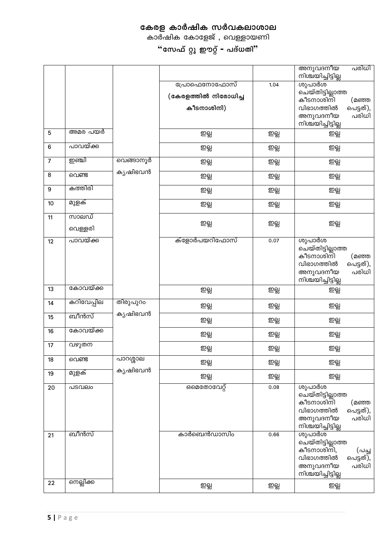കാർഷിക കോളേജ് , വെള്ളായണി

|                  |                  |           |                                                    |      | അനുവദനിയ<br>പരിധി<br>നിശ്ചയിച്ചിട്ടില്ല                                                                                     |
|------------------|------------------|-----------|----------------------------------------------------|------|-----------------------------------------------------------------------------------------------------------------------------|
|                  |                  |           | പ്രോഫെനോഫോസ്<br>(കേരളത്തിൽ നിരോധിച്ച<br>കീടനാശിനി) | 1.04 | ശുപാർശ<br>മെയ്തിട്ടില്ലാത്ത<br><br>കീടനാശിനി<br>(മഞ്ഞ<br>വിഭാഗത്തിൽ<br>പെട്ടത്),<br>പരിധി<br>അനുവദനീയ<br>നിശ്ചയിച്ചിട്ടില്ല |
| 5                | അമര പയർ          |           | ஜ                                                  | ஜத   | ஜத                                                                                                                          |
| $\bf 6$          | പാവയ്ക്ക         |           | ഇല്ല                                               | ஜ    | ஜத                                                                                                                          |
| $\overline{7}$   | ற்ணி             | വെങ്ങാനൂർ | ഇല്ല                                               | ஜ    | ഇല്ല                                                                                                                        |
| $\bf 8$          | വെണ്ട            | കൃഷിഭവൻ   | ஜ                                                  | ஜத   | ஜத                                                                                                                          |
| $\boldsymbol{9}$ | കത്തിരി          |           | ഇല്ല                                               | ஜ    | ஜத                                                                                                                          |
| 10               | മുളക്            |           | ഇല്ല                                               | ஜத   | ஜத                                                                                                                          |
| 11               | സാലഡ്<br>വെള്ളരി |           | ഇല്ല                                               | ஜத   | ஜத                                                                                                                          |
| 12               | പാവയ്ക്ക         |           | ക്ളോർപയറിഫോസ്                                      | 0.07 | ശുപാർശ<br>ചെയ്തിട്ടില്ലാത്ത<br>കീടനാശിനി<br>(മഞ്ഞ<br>വിഭാഗത്തിൽ<br>പെട്ടത്),<br>പരിധി<br>അനുവദനീയ<br>നിശ്ചയിച്ചിട്ടില്ല     |
| 13               | കോവയ്ക്ക         |           | ഇല്ല                                               | ஜ    | ஜத                                                                                                                          |
| 14               | കറിവേപ്പില       | തിരുപുറം  | ഇല്ല                                               | ஜ    | ஜத                                                                                                                          |
| 15               | ബീൻസ്            | കൃഷിഭവൻ   | ഇല്ല                                               | ஜ்   | ஜத                                                                                                                          |
| 16               | കോവയ്ക്ക         |           | ഇല്ല                                               | ஜ்   | ஜத                                                                                                                          |
| 17               | വഴുതന            |           | ഇല്ല                                               | ஜத   | ஜத                                                                                                                          |
| 18               | വെണ്ട            | പാറശ്ശാല  | ഇല്ല                                               | ஐ்   | ഇല്ല                                                                                                                        |
| 19               | മുളക്            | കൃഷിഭവൻ   | ஜ்                                                 | ஜ    | ஜ                                                                                                                           |
| 20               | പടവലം            |           | ഒമെതോവേറ്റ്                                        | 0.08 | ശുപാർശ<br>ചെയ്തിട്ടില്ലാത്ത<br>കീടനാശിനി<br>(മഞ്ഞ<br>വിഭാഗത്തിൽ<br>പെട്ടത്),<br>പരിധി<br>അനുവദനീയ<br>നിശ്ചയിച്ചിട്ടില്ല     |
| 21               | ബീൻസ്            |           | കാർബെൻഡാസിം                                        | 0.66 | ശുപാർശ<br>ചെയ്തിട്ടില്ലാത്ത<br>കീടനാശിനി,<br>(പച്ച<br>വിഭാഗത്തിൽ<br>പെട്ടത്),<br>പരിധി<br>അനുവദനീയ<br>നിശ്ചയിച്ചിട്ടില്ല    |
| 22               | നെല്ലിക്ക        |           | ഇല്ല                                               | ஜத   | ஜ                                                                                                                           |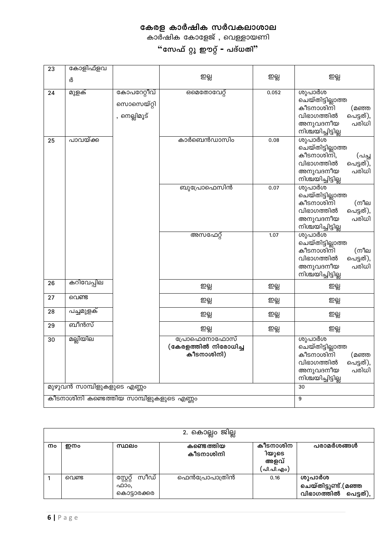കാർഷിക കോളേജ് , വെള്ളായണി

| 23 | കോളിഫ്ളവ                                 |                                           |                                                    |       |                                                                                                                          |
|----|------------------------------------------|-------------------------------------------|----------------------------------------------------|-------|--------------------------------------------------------------------------------------------------------------------------|
|    | ർ                                        |                                           | ஜ                                                  | ஜத    | ஜ்                                                                                                                       |
| 24 | മുളക്                                    | കോപറേറ്റീവ്<br>സൊസെയ്റ്റി<br>, നെല്ലിമൂട് | ഒമെതോവേറ്റ്                                        | 0.052 | ശുപാർശ<br>ചെയ്തിട്ടില്ലാത്ത<br>കീടനാശിനി<br>(മഞ്ഞ<br>വിഭാഗത്തിൽ<br>പെട്ടത്),<br>അനുവദനീയ<br>പരിധി<br>നിശ്ചയിച്ചിട്ടില്ല  |
| 25 | പാവയ്ക്ക                                 |                                           | കാർബെൻഡാസിം                                        | 0.08  | ശുപാർശ<br>ചെയ്തിട്ടില്ലാത്ത<br>കീടനാശിനി,<br>(പച്ച<br>വിഭാഗത്തിൽ<br>പെട്ടത്),<br>പരിധി<br>അനുവദനീയ<br>നിശ്ചയിച്ചിട്ടില്ല |
|    |                                          |                                           | ബുപ്രോഫെസിൻ                                        | 0.07  | ശുപാർശ<br>ചെയ്തിട്ടില്ലാത്ത<br>കീടനാശിനി<br>(നീല<br>വിഭാഗത്തിൽ<br>പെട്ടത്),<br>പരിധി<br>അനുവദനീയ<br>നിശ്ചയിച്ചിട്ടില്ല   |
|    |                                          |                                           | അസഫേറ്റ്                                           | 1.07  | ശുപാർശ<br>ചെയ്തിട്ടില്ലാത്ത<br>കീടനാശിനി<br>(നീല<br>വിഭാഗത്തിൽ<br>പെട്ടത്),<br>അനുവദനീയ<br>പരിധി<br>നിശ്ചയിച്ചിട്ടില്ല   |
| 26 | കറിവേപ്പില                               |                                           | ഇല്ല                                               | ഇല്ല  | ഇല്ല                                                                                                                     |
| 27 | വെണ്ട                                    |                                           | ஜ                                                  | ஜத    | ஜ்                                                                                                                       |
| 28 | പച്ചമുളക്                                |                                           | ஜ                                                  | ஜ     | ഇല്ല                                                                                                                     |
| 29 | ബീൻസ്                                    |                                           | ஜ                                                  | ஜ்    | ഇല്ല                                                                                                                     |
| 30 | മല്ലിയില                                 |                                           | പ്രോഫെനോഫോസ്<br>(കേരളത്തിൽ നിരോധിച്ച<br>കീടനാശിനി) |       | ശുപാർശ<br>ചെയ്തിട്ടില്ലാത്ത<br>കീടനാശിനി<br>(മഞ്ഞ<br>വിഭാഗത്തിൽ<br>പെട്ടത്),<br>അനുവദനീയ<br>പരിധി<br>നിശ്ചയിച്ചിട്ടില്ല  |
|    | മുഴുവൻ സാമ്പിളുകളുടെ എണ്ണം               |                                           |                                                    |       | 30                                                                                                                       |
|    | കീടനാശിനി കണ്ടെത്തിയ സാമ്പിളുകളുടെ എണ്ണം |                                           |                                                    |       | 9                                                                                                                        |

|    | 2. കൊല്ലം ജില്ല |                                           |                         |                                         |                                                        |  |  |
|----|-----------------|-------------------------------------------|-------------------------|-----------------------------------------|--------------------------------------------------------|--|--|
| നം | ഇനം             | സ്ഥലം                                     | കണ്ടെത്തിയ<br>കീടനാശിനി | കീടനാശിന<br>ിയുടെ<br>അളവ്<br>(പി.പി.എം) | പരാമർശങ്ങൾ                                             |  |  |
|    | വെണ്ട           | സീഡ്<br>സ്റ്റേറ്റ്<br>ഫാം,<br>കൊട്ടാരക്കര | ഫെൻപ്രോപാത്രിൻ          | 0.16                                    | ശുപാർശ<br>ചെയ്തിട്ടുണ്ട്.(മഞ്ഞ<br>വിഭാഗത്തിൽ പെട്ടത്), |  |  |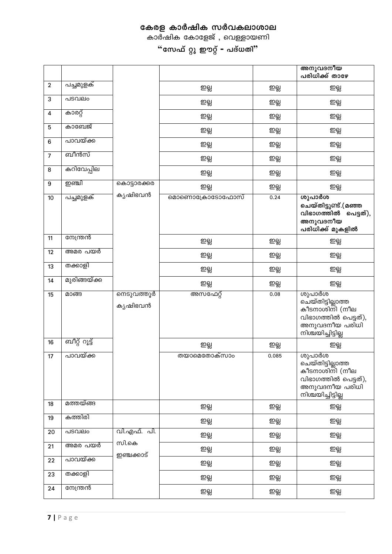കാർഷിക കോളേജ് , വെള്ളായണി

|                |               |                       |                |       | അനുവദനീയ<br>പരിധിക്ക് താഴേ                                                                                    |
|----------------|---------------|-----------------------|----------------|-------|---------------------------------------------------------------------------------------------------------------|
| $\mathbf{2}$   | പച്ചമുളക്     |                       | ஜ்             | ஜ்    | ஜத                                                                                                            |
| 3              | പടവലം         |                       | ഇല്ല           | ஜத    | ஜ்                                                                                                            |
| 4              | കാരറ്റ്       |                       | ഇല്ല           | ஜ்    | ஜத                                                                                                            |
| 5              | കാബേജ്        |                       | ഇല്ല           | ஜத    | ஜ                                                                                                             |
| 6              | പാവയ്ക്ക      |                       | ഇല്ല           | ஜத    | ஜ                                                                                                             |
| $\overline{7}$ | ബീൻസ്         |                       | ஜ்             | ஜத    | ஜத                                                                                                            |
| 8              | കറിവേപ്പില    |                       | ഇല്ല           | ஜத    | ஜத                                                                                                            |
| 9              | றூனி          | കൊട്ടാരക്കര           | ഇല്ല           | ஜ்    | ஜத                                                                                                            |
| 10             | പച്ചമുളക്     | കൃഷിഭവൻ               | മൊണൊക്രോടോഫോസ് | 0.24  | ശുപാർശ<br>ചെയ്തിട്ടുണ്ട്.(മഞ്ഞ<br>വിഭാഗത്തിൽ പെട്ടത്),<br>അനുവദനീയ<br>പരിധിക്ക് മുകളിൽ                        |
| 11             | നേന്ത്രൻ      |                       | ഇല്ല           | ஜத    | ஜத                                                                                                            |
| 12             | അമര പയർ       |                       | ഇല്ല           | ஜத    | ஜ                                                                                                             |
| 13             | തക്കാളി       |                       | ഇല്ല           | ஜத    | ஜத                                                                                                            |
| 14             | മുരിങ്ങയ്ക്ക  |                       | ഇല്ല           | ஜத    | ஜத                                                                                                            |
| 15             | മാങ്ങ         | നെടുവത്തൂർ<br>കൃഷിഭവൻ | അസഫേറ്റ്       | 0.08  | ശുപാർശ<br>ചെയ്തിട്ടില്ലാത്ത<br>കീടനാശിനി (നീല<br>വിഭാഗത്തിൽ പെട്ടത്),<br>അനുവദനീയ പരിധി<br>നിശ്ചയിച്ചിട്ടില്ല |
| 16             | ബീറ്റ് റൂട്ട് |                       | ஜ்             | ஜத    | ஜத                                                                                                            |
| $17\,$         | പാവയ്ക്ക      |                       | തയാമെതോക്സാം   | 0.085 | ശുപാർശ<br>കീടനാശിനി (നീല<br>വിഭാഗത്തിൽ പെട്ടത്),<br>അനുവദനീയ പരിധി<br>നിശ്ചയിച്ചിട്ടില്ല                      |
| 18             | മത്തയ്ങ്ങ     |                       | ഇല്ല           | ஜ்    | ஜத                                                                                                            |
| 19             | കത്തിരി       |                       | ஜ              | ஜத    | ஜத                                                                                                            |
| 20             | പടവലം         | വി.എഫ്. പി.<br>സി.കെ  | ഇല്ല           | ஜ்    | ஜத                                                                                                            |
| 21             | അമര പയർ       | ഇഞ്ചക്കാട്            | ഇല്ല           | ஜ்    | ஜ்                                                                                                            |
| 22             | പാവയ്ക്ക      |                       | ഇല്ല           | ஜ்    | ஜத                                                                                                            |
| 23             | തക്കാളി       |                       | ഇല്ല           | ஜத    | ஜத                                                                                                            |
| 24             | സേന്ത്രൻ      |                       | ஜ              | ஜ்    | ஜ                                                                                                             |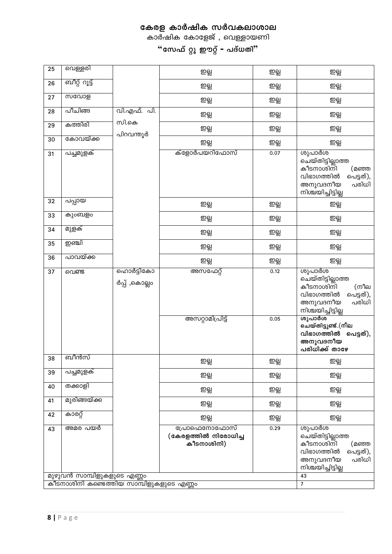#### $8 |$  P a g e

| 25 | വെള്ളരി                                                                |                            | ഇല്ല                                               | ஜ்   | ஜத                                                                                                                      |
|----|------------------------------------------------------------------------|----------------------------|----------------------------------------------------|------|-------------------------------------------------------------------------------------------------------------------------|
| 26 | ബീറ്റ് റൂട്ട്                                                          |                            | ஜ்                                                 | ஜ    | ஜ                                                                                                                       |
| 27 | സവോള                                                                   |                            | ஜ்                                                 | ஜத   | ஜ்                                                                                                                      |
| 28 | പീചിങ്ങ                                                                | വി.എഫ്. പി.                | ഇല്ല                                               | ஜ    | ஜ்                                                                                                                      |
| 29 | കത്തിരി                                                                | സി.കെ<br>പിറവന്തൂർ         | ഇല്ല                                               | ஜ்   | ஜத                                                                                                                      |
| 30 | കോവയ്ക്ക                                                               |                            | ஜத                                                 | ஜத   | ஜத                                                                                                                      |
| 31 | പച്ചമുളക്                                                              |                            | ക്ളോർപയറിഫോസ്                                      | 0.07 | ശുപാർശ<br>ചെയ്തിട്ടില്ലാത്ത<br>കീടനാശിനി<br>(മഞ്ഞ<br>വിഭാഗത്തിൽ<br>പെട്ടത്),<br>അനുവദനീയ<br>പരിധി<br>നിശ്ചയിച്ചിട്ടില്ല |
| 32 | പപ്പായ                                                                 |                            | ഇല്ല                                               | ஜத   | ஜத                                                                                                                      |
| 33 | കുംബളം                                                                 |                            | ஜ                                                  | ஜத   | ஜ்                                                                                                                      |
| 34 | മുളക്                                                                  |                            | ഇല്ല                                               | ஜ    | ஜ்                                                                                                                      |
| 35 | ഇഞ്ചി                                                                  |                            | ഇല്ല                                               | ஜத   | ஜ்                                                                                                                      |
| 36 | പാവയ്ക്ക                                                               |                            | ஜ்                                                 | ஜத   | ஜத                                                                                                                      |
| 37 | വെണ്ട                                                                  | ഹൊർട്ടികോ<br>ർപ്പ് ,കൊല്ലം | അസഫേറ്റ്                                           | 0.12 | ശുപാർശ<br>ചെയ്തിട്ടില്ലാത്ത<br>കീടനാശിനി<br>(നീല<br>വിഭാഗത്തിൽ<br>പെട്ടത്),<br>അനുവദനീയ<br>പരിധി<br>നിശ്ചയിച്ചിട്ടില്ല  |
|    |                                                                        |                            | അസറ്റാമിപ്രിട്ട്                                   | 0.05 | ശുപാർശ<br>ചെയ്തിട്ടുണ്ട്.(നീല<br>വിഭാഗത്തിൽ പെട്ടത്),<br>അനുവദനീയ<br>പരിധിക്ക് താഴേ                                     |
| 38 | ബീൻസ്                                                                  |                            | ഇല്ല                                               | ஜ    | ஜ்                                                                                                                      |
| 39 | പച്ചമുളക്                                                              |                            | ഇല്ല                                               | ஜ    | ஜத                                                                                                                      |
| 40 | തക്കാളി                                                                |                            | ஜ்                                                 | ஜத   | ஜ்                                                                                                                      |
| 41 | മുരിങ്ങയ്ക്ക                                                           |                            | ஜ்                                                 | ஜ    | ஜத                                                                                                                      |
| 42 | കാരറ്റ്                                                                |                            | ஜ                                                  | ஜ    | ஜ                                                                                                                       |
| 43 | അമര പയർ                                                                |                            | പ്രോഫെനോഫോസ്<br>(കേരളത്തിൽ നിരോധിച്ച<br>കീടനാശിനി) | 0.29 | ശുപാർശ<br>ചെയ്തിട്ടില്ലാത്ത<br>കീടനാശിനി<br>(മഞ്ഞ<br>വിഭാഗത്തിൽ<br>പെട്ടത്),<br>പരിധി<br>അനുവദനീയ<br>നിശ്ചയിച്ചിട്ടില്ല |
|    | മുഴുവൻ സാമ്പിളുകളുടെ എണ്ണം<br>കീടനാശിനി കണ്ടെത്തിയ സാമ്പിളുകളുടെ എണ്ണം |                            |                                                    |      | 43                                                                                                                      |
|    |                                                                        |                            |                                                    |      | $\overline{7}$                                                                                                          |

കേരള കാർഷിക സർവകലാശാല

കാർഷിക കോളേജ് , വെള്ളായണി

"സേഫ് റ്റു ഈറ്റ് – പദ്ധതി"

┑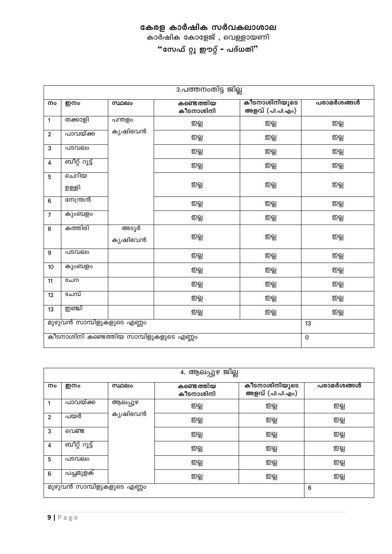കാർഷിക കോളേജ് , വെള്ളായണി

|                                          | 3.പത്തനംതിട്ട ജില്ല |                 |                         |                                  |            |  |
|------------------------------------------|---------------------|-----------------|-------------------------|----------------------------------|------------|--|
| നം                                       | ഇനം                 | muelo           | കണ്ടെത്തിയ<br>കീടനാശിനി | കീടനാശിനിയുടെ<br>അളവ് (പി.പി.എം) | പരാമർശങ്ങൾ |  |
| 1                                        | തക്കാളി             | പന്തളം          | ഇല്ല                    | ஜ                                | ஜ          |  |
| $\mathbf{2}$                             | പാവയ്ക്ക            | കൃഷിഭവൻ         | ഇല്ല                    | ഇല്ല                             | ഇല്ല       |  |
| 3                                        | പടവലം               |                 | ഇല്ല                    | ஜ்                               | ഇല്ല       |  |
| 4                                        | ബീറ്റ് റൂട്ട്       |                 | ഇല്ല                    | ஜ                                | ഇല്ല       |  |
| $5\phantom{.0}$                          | ചെറിയ<br>ഉള്ളി      |                 | ഇല്ല                    | ஜ்                               | ஜ்         |  |
| $6\phantom{1}$                           | നേന്ത്രൻ            |                 | ഇല്ല                    | ஜ்                               | ഇല്ല       |  |
| $\overline{7}$                           | കുംബളം              |                 | ഇല്ല                    | ஜ்                               | ஜ          |  |
| 8                                        | കത്തിരി             | അടൂർ<br>കൃഷിഭവൻ | ഇല്ല                    | ஜ்                               | ஜ்         |  |
| 9                                        | പടവലം               |                 | ഇല്ല                    | ஜ்                               | ഇല്ല       |  |
| 10                                       | കുംബളം              |                 | ഇല്ല                    | ஜ்                               | ഇല്ല       |  |
| 11                                       | ചേന                 |                 | ഇല്ല                    | ஜ                                | ഇല്ല       |  |
| 12                                       | ചേമ്പ്              |                 | ഇല്ല                    | ஜ்                               | ற்கி       |  |
| 13                                       | ற்ணி                |                 | ற்கி                    | ஜ்                               | ஜ்         |  |
| മുഴുവൻ സാമ്പിളുകളുടെ എണ്ണം               |                     |                 |                         |                                  | 13         |  |
| കീടനാശിനി കണ്ടെത്തിയ സാമ്പിളുകളുടെ എണ്ണം |                     |                 |                         |                                  | $\pmb{0}$  |  |

| 4. ആലപ്പുഴ ജില്ല           |               |         |                         |                                  |            |  |
|----------------------------|---------------|---------|-------------------------|----------------------------------|------------|--|
| നം                         | ഇനം           | സ്ഥലം   | കണ്ടെത്തിയ<br>കീടനാശിനി | കീടനാശിനിയുടെ<br>അളവ് (പി.പി.എം) | പരാമർശങ്ങൾ |  |
| 1                          | പാവയ്ക്ക      | ആലപ്പുഴ | ഇല്ല                    | ஜத                               | ஜத         |  |
| $\overline{2}$             | പയർ           | കൃഷിഭവൻ | ഇല്ല                    | ஜத                               | ஜத         |  |
| 3                          | വെണ്ട         |         | ഇല്ല                    | ஜத                               | ஜ்         |  |
| 4                          | ബീറ്റ് റൂട്ട് |         | ഇല്ല                    | ஜத                               | ஜத         |  |
| 5                          | പടവലം         |         | ഇല്ല                    | ஜத                               | ஜத         |  |
| 6                          | പച്ചമുളക്     |         | ഇല്ല                    | ஜத                               | ஜ்         |  |
| മുഴുവൻ സാമ്പിളുകളുടെ എണ്ണം |               |         |                         |                                  | 6          |  |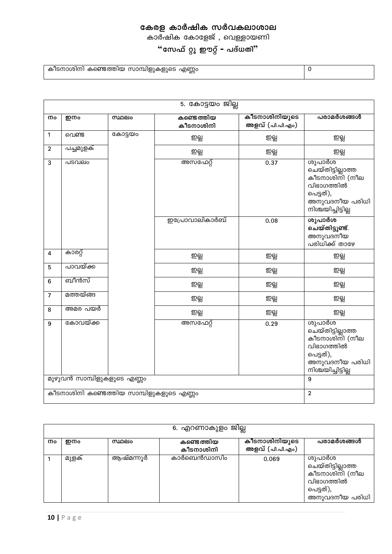കാർഷിക കോളേജ് , വെള്ളായണി

# "സേഫ് റ്റു ഈറ്റ് – പദ്ധതി"

കീടനാശിനി കണ്ടെത്തിയ സാമ്പിളുകളുടെ എണ്ണം

|                                          | 5. കോട്ടയം ജില്ല           |         |                         |                                  |                                                                                                                  |  |  |
|------------------------------------------|----------------------------|---------|-------------------------|----------------------------------|------------------------------------------------------------------------------------------------------------------|--|--|
| നം                                       | ഇനം                        | സ്ഥലം   | കണ്ടെത്തിയ<br>കീടനാശിനി | കീടനാശിനിയുടെ<br>അളവ് (പി.പി.എം) | പരാമർശങ്ങൾ                                                                                                       |  |  |
| 1                                        | വെണ്ട                      | കോട്ടയം | ഇല്ല                    | ஜத                               | ஜ                                                                                                                |  |  |
| $\mathbf{2}$                             | പച്ചമുളക്                  |         | ஜ்                      | ஜ                                | ஜ                                                                                                                |  |  |
| 3                                        | പടവലം                      |         | അസഫേറ്റ്                | 0.37                             | ശുപാർശ<br>ചെയ്തിട്ടില്ലാത്ത<br>കീടനാശിനി (നീല<br>വിഭാഗത്തിൽ<br>പെട്ടത്),<br>അനുവദനീയ പരിധി<br>നിശ്ചയിച്ചിട്ടില്ല |  |  |
|                                          |                            |         | ഇപ്രോവാലികാർബ്          | 0.08                             | ശുപാർശ<br>ചെയ്തിട്ടുണ്ട്.<br>അനുവദനീയ<br>പരിധിക്ക് താഴേ                                                          |  |  |
| 4                                        | കാരറ്റ്                    |         | ஜ்                      | ஜ                                | ഇല്ല                                                                                                             |  |  |
| 5                                        | പാവയ്ക്ക                   |         | ஜ்                      | ഇല്ല                             | ஜ                                                                                                                |  |  |
| $6\phantom{1}6$                          | ബീൻസ്                      |         | ஜத                      | ഇല്ല                             | ஜ                                                                                                                |  |  |
| $\overline{7}$                           | മത്തയ്ങ്ങ                  |         | ഇല്ല                    | ஜ                                | ஜ                                                                                                                |  |  |
| 8                                        | അമര പയർ                    |         | ഇല്ല                    | ஜ                                | ஜ                                                                                                                |  |  |
| 9                                        | കോവയ്ക്ക                   |         | അസഫേറ്റ്                | 0.29                             | ശുപാർശ<br>ചെയ്തിട്ടില്ലാത്ത<br>കീടനാശിനി (നീല<br>വിഭാഗത്തിൽ<br>പെട്ടത്),<br>അനുവദനീയ പരിധി<br>നിശ്ചയിച്ചിട്ടില്ല |  |  |
|                                          | മുഴുവൻ സാമ്പിളുകളുടെ എണ്ണം |         |                         |                                  | $\boldsymbol{9}$                                                                                                 |  |  |
| കീടനാശിനി കണ്ടെത്തിയ സാമ്പിളുകളുടെ എണ്ണം |                            |         |                         |                                  | $\overline{2}$                                                                                                   |  |  |

|    | 6. എറണാകുളം ജില്ല |           |                         |                                  |                                                                                            |  |  |  |
|----|-------------------|-----------|-------------------------|----------------------------------|--------------------------------------------------------------------------------------------|--|--|--|
|    |                   |           |                         |                                  |                                                                                            |  |  |  |
| നം | ഇനം               | സ്ഥലം     | കണ്ടെത്തിയ<br>കീടനാശിനി | കീടനാശിനിയുടെ<br>അളവ് (പി.പി.എം) | പരാമർശങ്ങൾ                                                                                 |  |  |  |
|    |                   |           | കാർബെൻഡാസിം             |                                  |                                                                                            |  |  |  |
|    | മുളക്             | ആഷ്മന്നൂർ |                         | 0.069                            | ശുപാർശ<br>ചെയ്തിട്ടില്ലാത്ത<br>കീടനാശിനി (നീല<br>വിഭാഗത്തിൽ<br>പെട്ടത്),<br>അനുവദനീയ പരിധി |  |  |  |

 $\overline{0}$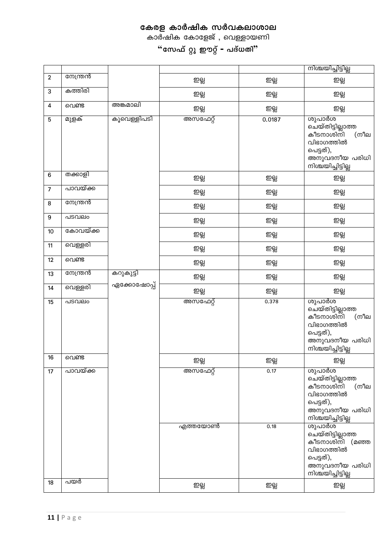കാർഷിക കോളേജ് , വെള്ളായണി

|                |          |             |          |        | നിശ്ചയിച്ചിട്ടില്ല                                                                                                           |
|----------------|----------|-------------|----------|--------|------------------------------------------------------------------------------------------------------------------------------|
| $\mathbf{2}$   | നേന്ത്രൻ |             | ஜ்       | ஜத     | ஜ்                                                                                                                           |
| 3              | കത്തിരി  |             | ஜ்       | ஜத     | ஜ்                                                                                                                           |
| 4              | വെണ്ട    | അങ്കമാലി    | ஜ்       | ஜ்     | ஜ                                                                                                                            |
| 5              | മുളക്    | കൂവെള്ളിപടി | അസഫേറ്റ് | 0.0187 | ശുപാർശ<br>൭ <u>ച</u> ്യതിട്ടില്ലാത്ത<br>കീടനാശിനി<br>(നീല<br>വിഭാഗത്തിൽ<br>പെട്ടത്),<br>അനുവദനീയ പരിധി<br>നിശ്ചയിച്ചിട്ടില്ല |
| $\bf 6$        | തക്കാളി  |             | ஜ்       | ஜ      | ஜ                                                                                                                            |
| $\overline{7}$ | പാവയ്ക്ക |             | ஜ்       | ஜ      | ஜத                                                                                                                           |
| 8              | നേന്ത്രൻ |             | ഇല്ല     | ஜ்     | ஜத                                                                                                                           |
| 9              | പടവലം    |             | ഇല്ല     | ஜத     | ஜத                                                                                                                           |
| 10             | കോവയ്ക്ക |             | ஜ்       | ஜத     | ஜத                                                                                                                           |
| 11             | വെള്ളരി  |             | ഇല്ല     | ஜ்     | ஜ                                                                                                                            |
| 12             | വെണ്ട    |             | ஜ்       | ஜ      | ஜத                                                                                                                           |
| 13             | നേന്ത്രൻ | കറുകുട്ടി   | ஜத       | ஜத     | ஜத                                                                                                                           |
| 14             | വെള്ളരി  | ഏക്കോഷോപ്പ് | ഇല്ല     | ஜ      | ஜத                                                                                                                           |
| 15             | പടവലം    |             | അസഫേറ്റ് | 0.378  | ശുപാർശ<br>ചെയ്തിട്ടില്ലാത്ത<br>കീടനാശിനി<br>(നീല<br>വിഭാഗത്തിൽ<br>പെട്ടത്),<br>അനുവദനീയ പരിധി<br>നിശ്ചയിച്ചിട്ടില്ല          |
| 16             | വെണ്ട    |             | ഇല്ല     | ഇല്ല   | ഇല്ല                                                                                                                         |
| 17             | പാവയ്ക്ക |             | അസഫേറ്റ് | 0.17   | ശുപാർശ<br>ചെയ്തിട്ടില്ലാത്ത<br>കീടനാശിനി (<br>(നീല<br>വിഭാഗത്തിൽ<br>പെട്ടത്),<br>അനുവദനീയ പരിധി<br>നിശ്ചയിച്ചിട്ടില്ല        |
|                |          |             | എത്തയോൺ  | 0.18   | ശുപാർശ<br>ചെയ്തിട്ടില്ലാത്ത<br>കീടനാശിനി (മഞ്ഞ<br>വിഭാഗത്തിൽ<br>പെട്ടത്),<br>അനുവദനീയ പരിധി<br>നിശ്ചയിച്ചിട്ടില്ല            |
| 18             | പയർ      |             | ஜத       | ஜத     | ஜத                                                                                                                           |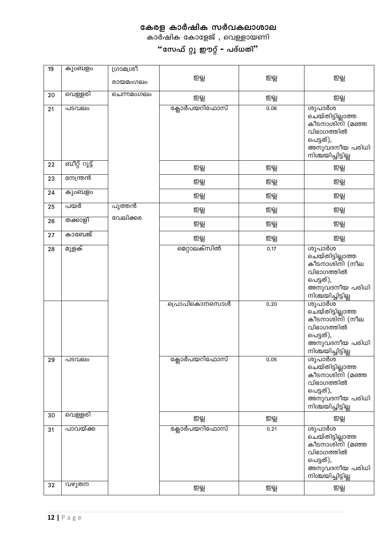കാർഷിക കോളേജ് , വെള്ളായണി

| 19 | കുംബളം        | ൜മഗ്രി<br>രായമംഗലം | ஜத                           | ஜ்           | ஜ                                                                                                                                                                                                              |
|----|---------------|--------------------|------------------------------|--------------|----------------------------------------------------------------------------------------------------------------------------------------------------------------------------------------------------------------|
| 20 | വെള്ളരി       | ചെന്നമംഗലം         | ஜத                           | ஜ்           | ஜத                                                                                                                                                                                                             |
| 21 | പടവലം         |                    | ക്ലോർപയറിഫോസ്                | 0.06         | ശുപാർശ<br>ചെയ്തിട്ടില്ലാത്ത<br>കീടനാശിനി (മഞ്ഞ<br>വിഭാഗത്തിൽ<br>പെട്ടത്),<br>അനുവദനീയ പരിധി<br>നിശ്ചയിച്ചിട്ടില്ല                                                                                              |
| 22 | ബീറ്റ് റൂട്ട് |                    | ഇല്ല                         | ஜ்           | ஜத                                                                                                                                                                                                             |
| 23 | നേന്ത്രൻ      |                    | ഇല്ല                         | ஜ            | ஜத                                                                                                                                                                                                             |
| 24 | കുംബളം        |                    | ഇല്ല                         | ஜத           | ஜத                                                                                                                                                                                                             |
| 25 | പയർ           | പുത്തൻ             | ഇല്ല                         | ஜ்           | ஜத                                                                                                                                                                                                             |
| 26 | തക്കാളി       | വേലിക്കര           | ഇല്ല                         | ஜ்           | ஜ                                                                                                                                                                                                              |
| 27 | കാബേജ്        |                    | ஜத                           | ஜ்           | ஜத                                                                                                                                                                                                             |
| 28 | മുളക്         |                    | മെറ്റാലക്സിൽ<br>പ്രൊപികൊനസൊൾ | 0.17<br>0.20 | ശുപാർശ<br>ചെയ്തിട്ടില്ലാത്ത<br>കീടനാശിനി (നീല<br>വിഭാഗത്തിൽ<br>പെട്ടത്),<br>അനുവദനീയ പരിധി<br>നിശ്ചയിച്ചിട്ടില്ല<br>ശുപാർശ<br>ചെയ്തിട്ടില്ലാത്ത<br>കീടനാശിനി (നീല<br>വിഭാഗത്തിൽ<br>പെട്ടത്),<br>അനുവദനീയ പരിധി |
| 29 | പടവലം         |                    | <mark>ക്ലോർപയറിഫോസ്</mark>   | 0.05         | നിശ്ചയിച്ചിട്ടില്ല<br>ശുപാർശ<br>ചെയ്തിട്ടില്ലാത്ത<br>കീടനാശിനി (മഞ്ഞ<br>വിഭാഗത്തിൽ<br>പെട്ടത്),<br>അനുവദനീയ പരിധി<br>നിശ്ചയിച്ചിട്ടില്ല                                                                        |
| 30 | വെള്ളരി       |                    | ஜ                            | ஜ            | ஜ                                                                                                                                                                                                              |
| 31 | പാവയ്ക്ക      |                    | ക്ലോർപയറിഫോസ്                | 0.21         | ശുപാർശ<br>ചെയ്തിട്ടില്ലാത്ത<br>കീടനാശിനി (മഞ്ഞ<br>വിഭാഗത്തിൽ<br>പെട്ടത്),<br>അനുവദനീയ പരിധി<br>നിശ്ചയിച്ചിട്ടില്ല                                                                                              |
| 32 | വഴുതന         |                    | ஜத                           | ஜ்           | ஜத                                                                                                                                                                                                             |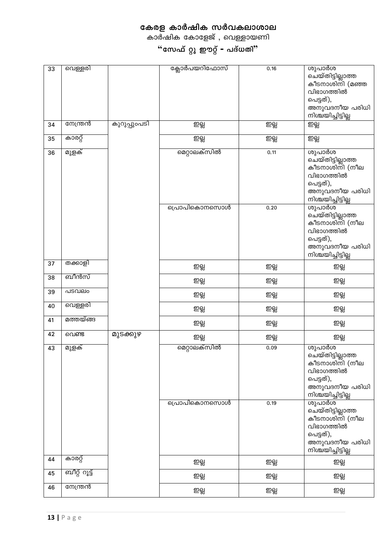കാർഷിക കോളേജ് , വെള്ളായണി

| 33 | വെള്ളരി       |              | ക്ലോർപയറിഫോസ് | 0.16 | ശുപാർശ<br>ചെയ്തിട്ടില്ലാത്ത<br>കീടനാശിനി (മഞ്ഞ<br>വിഭാഗത്തിൽ<br>പെട്ടത്),<br>അനുവദനീയ പരിധി<br>നിശ്ചയിച്ചിട്ടില്ല |
|----|---------------|--------------|---------------|------|-------------------------------------------------------------------------------------------------------------------|
| 34 | നേന്ത്രൻ      | കുറുപ്പുംപടി | ഇല്ല          | ஜ    | ஜ                                                                                                                 |
| 35 | കാരറ്റ്       |              | ஜ             | ஜ்   | ஜ்                                                                                                                |
| 36 | മുളക്         |              | മെറ്റാലക്സിൽ  | 0.11 | ശുപാർശ<br>ചെയ്തിട്ടില്ലാത്ത<br>കീടനാശിനി (നീല<br>വിഭാഗത്തിൽ<br>പെട്ടത്),<br>അനുവദനീയ പരിധി<br>നിശ്ചയിച്ചിട്ടില്ല  |
|    |               |              | പ്രൊപികൊനസൊൾ  | 0.20 | ശുപാർശ<br>ചെയ്തിട്ടില്ലാത്ത<br>കീടനാശിനി (നീല<br>വിഭാഗത്തിൽ<br>പെട്ടത്),<br>അനുവദനീയ പരിധി<br>നിശ്ചയിച്ചിട്ടില്ല  |
| 37 | തക്കാളി       |              | ഇല്ല          | ஜ    | ஜத                                                                                                                |
| 38 | ബീൻസ്         |              | ഇല്ല          | ஜ்   | ஜத                                                                                                                |
| 39 | പടവലം         |              | ഇല്ല          | ഇല്ല | ஜத                                                                                                                |
| 40 | വെള്ളരി       |              | ഇല്ല          | ഇല്ല | ஜத                                                                                                                |
| 41 | മത്തയ്ങ്ങ     |              | ഇല്ല          | ഇല്ല | ஜத                                                                                                                |
| 42 | വെണ്ട         | മുടക്കുഴ     | ஜ             | ഇല്ല | ஜத                                                                                                                |
| 43 | മുളക്         |              | മെറ്റാലക്സിൽ  | 0.09 | ശുപാർശ<br>ചെയ്തിട്ടില്ലാത്ത<br>കീടനാശിനി (നീല<br>വിഭാഗത്തിൽ<br>പെട്ടത്),<br>അനുവദനീയ പരിധി<br>നിശ്ചയിച്ചിട്ടില്ല  |
|    |               |              | പ്രൊപികൊനസൊൾ  | 0.19 | ശുപാർശ്<br>ചെയ്തിട്ടില്ലാത്ത<br>കീടനാശിനി (നീല<br>വിഭാഗത്തിൽ<br>പെട്ടത്),<br>അനുവദനീയ പരിധി<br>നിശ്ചയിച്ചിട്ടില്ല |
| 44 | കാരറ്റ്       |              | ஜ             | ஜ    | ஜத                                                                                                                |
| 45 | ബീറ്റ് റൂട്ട് |              | ഇല്ല          | ഇല്ല | ஜ                                                                                                                 |
| 46 | നേന്ത്രൻ      |              | ഇല്ല          | ഇല്ല | ஜ                                                                                                                 |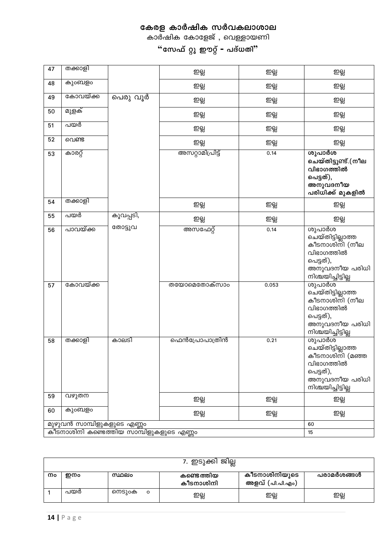കാർഷിക കോളേജ് , വെള്ളായണി

| 47 | തക്കാളി                    |                                               | ஜ்                   | ஜ்    | ஜ                                                                                                                 |
|----|----------------------------|-----------------------------------------------|----------------------|-------|-------------------------------------------------------------------------------------------------------------------|
| 48 | കുംബളം                     |                                               | ഇല്ല                 | ஜத    | ஜத                                                                                                                |
| 49 | കോവയ്ക്ക                   | പെരു വൂർ                                      | ஜ்                   | ஜத    | ஜத                                                                                                                |
| 50 | മുളക്                      |                                               | ஜ                    | ஜ     | ஜத                                                                                                                |
| 51 | പയർ                        |                                               | ഇല്ല                 | ஜ்    | ஜத                                                                                                                |
| 52 | വെണ്ട                      |                                               | ஜ                    | ஜ்    | ஜத                                                                                                                |
| 53 | കാരറ്റ്                    |                                               | അസറ്റാമിപ്രിട്ട്     | 0.14  | ശുപാർശ<br>ചെയ്തിട്ടുണ്ട്.(നീല<br>വിഭാഗത്തിൽ<br>പെട്ടത്),<br>അനുവദനീയ<br>പരിധിക്ക് മുകളിൽ                          |
| 54 | തക്കാളി                    |                                               | ഇല്ല                 | ஜத    | ഇല്ല                                                                                                              |
| 55 | പയർ                        | കൂവപ്പടി,                                     | ஜ                    | ஜ்    | ஜத                                                                                                                |
| 56 | പാവയ്ക്ക                   | തോട്ടുവ                                       | അസഫേറ്റ്             | 0.14  | ശുപാർശ<br>ചെയ്തിട്ടില്ലാത്ത<br>കീടനാശിനി (നീല<br>വിഭാഗത്തിൽ<br>പെട്ടത്),<br>അനുവദനീയ പരിധി<br>നിശ്ചയിച്ചിട്ടില്ല  |
| 57 | കോവയ്ക്ക                   |                                               | <b>ത</b> യോമെതോക്സാം | 0.053 | ശുപാർശ<br>ചെയ്തിട്ടില്ലാത്ത<br>കീടനാശിനി (നീല<br>വിഭാഗത്തിൽ<br>പെട്ടത്),<br>അനുവദനീയ പരിധി<br>നിശ്ചയിച്ചിട്ടില്ല  |
| 58 | തക്കാളി                    | കാലടി                                         | ഫെൻപ്രോപാത്രിൻ       | 0.21  | ശുപാർശ<br>ചെയ്തിട്ടില്ലാത്ത<br>കീടനാശിനി (മഞ്ഞ<br>വിഭാഗത്തിൽ<br>പെട്ടത്),<br>അനുവദനീയ പരിധി<br>നിശ്ചയിച്ചിട്ടില്ല |
| 59 | വഴുതന                      |                                               | ஜ்                   | ஜ்    | ஜ்                                                                                                                |
| 60 | കുംബളം                     |                                               | ഇല്ല                 | ஜத    | ஜத                                                                                                                |
|    | മുഴുവൻ സാമ്പിളുകളുടെ എണ്ണം |                                               |                      |       | 60                                                                                                                |
|    |                            | .<br>കീടനാശിനി കണ്ടെത്തിയ സാമ്പിളുകളുടെ എണ്ണം |                      |       | 15                                                                                                                |

|    | 7. ഇടുക്കി ജില്ല |                   |                         |                                  |            |  |  |  |
|----|------------------|-------------------|-------------------------|----------------------------------|------------|--|--|--|
| നം | ഇനം              | സ്ഥലം             | കണ്ടെത്തിയ<br>കീടനാശിനി | കീടനാശിനിയുടെ<br>അളവ് (പി.പി.എം) | പരാമർശങ്ങൾ |  |  |  |
|    | പയർ              | നെടുംക<br>$\circ$ | ഇല്ല                    | ഇല്ല                             | ഇല്ല       |  |  |  |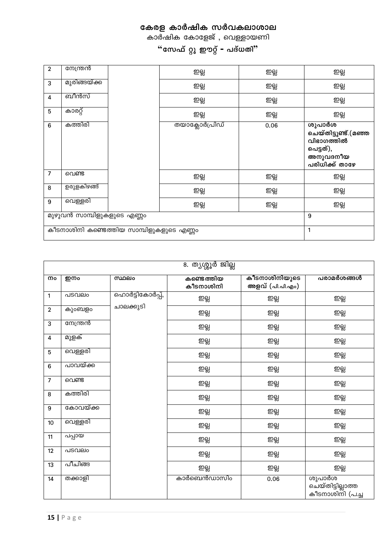|                | 8. ത്യശ്ശൂർ ജില്ല |                 |                         |                                  |                                                 |  |  |
|----------------|-------------------|-----------------|-------------------------|----------------------------------|-------------------------------------------------|--|--|
| നം             | ഇനം               | സ്ഥലം           | കണ്ടെത്തിയ<br>കീടനാശിനി | കീടനാശിനിയുടെ<br>അളവ് (പി.പി.എം) | പരാമർശങ്ങൾ                                      |  |  |
| 1              | പടവലം             | ഹൊർട്ടികോർപ്പ്, | ஜ்                      | ஜ                                | ஜ                                               |  |  |
| $\overline{2}$ | കുംബളം            | ചാലക്കുടി       | ஜ்                      | ഇല്ല                             | ஜ்                                              |  |  |
| 3              | നേന്ത്രൻ          |                 | ஜ்                      | ஜ்                               | ஜ்                                              |  |  |
| 4              | മുളക്             |                 | ஜ                       | ஜ                                | ஜ்                                              |  |  |
| $\overline{5}$ | വെള്ളരി           |                 | ஜ்                      | ഇല്ല                             | ஜ்                                              |  |  |
| $6\phantom{1}$ | പാവയ്ക്ക          |                 | ஜ்                      | ஜ்                               | ஜ்                                              |  |  |
| 7              | വെണ്ട             |                 | ஜ்                      | ஜ                                | ஜ                                               |  |  |
| 8              | കത്തിരി           |                 | ஜ்                      | ஜத                               | ஜ்                                              |  |  |
| $9\,$          | കോവയ്ക്ക          |                 | ஜ்                      | ഇല്ല                             | ஜ்                                              |  |  |
| 10             | വെള്ളരി           |                 | ஜ்                      | ഇല്ല                             | ஜ்                                              |  |  |
| 11             | പപ്പായ            |                 | ஜ்                      | ஜத                               | ஜ்                                              |  |  |
| 12             | പടവലം             |                 | ஜ்                      | ஜ                                | ஜ்                                              |  |  |
| 13             | പീചിങ്ങ           |                 | ஜ்                      | ഇല്ല                             | ஜ                                               |  |  |
| 14             | തക്കാളി           |                 | കാർബെൻഡാസിം             | 0.06                             | ശുപാർശ<br>ചെയ്തിട്ടില്ലാത്ത<br>കീടനാശിന്1 (പച്ച |  |  |

| $\overline{2}$  | നേന്ത്രൻ                   |                                          | ஜத             | ഇല്ല | ഇല്ല                                                                                    |
|-----------------|----------------------------|------------------------------------------|----------------|------|-----------------------------------------------------------------------------------------|
| 3               | മുരിങ്ങയ്ക്ക               |                                          | ഇല്ല           | ഇല്ല | ഇല്ല                                                                                    |
| 4               | ബീൻസ്                      |                                          | ஜத             | ഇല്ല | ஜத                                                                                      |
| $5\phantom{.0}$ | കാരറ്റ്                    |                                          | ഇല്ല           | ஜத   | ഇല്ല                                                                                    |
| $6\phantom{1}6$ | കത്തിരി                    |                                          | തയാക്ലോർപ്രിഡ് | 0.06 | ശുപാർശ<br>ചെയ്തിട്ടുണ്ട്.(മഞ്ഞ<br>വിഭാഗത്തിൽ<br>പെട്ടത്),<br>അനുവദനീയ<br>പരിധിക്ക് താഴേ |
| $\overline{7}$  | വെണ്ട                      |                                          | ഇല്ല           | ഇല്ല | ഇല്ല                                                                                    |
| 8               | ഉരുളകിഴങ്ങ്                |                                          | ഇല്ല           | ஜத   | ஜத                                                                                      |
| 9               | വെള്ളരി                    |                                          | ഇല്ല           | ஜத   | ஜ்                                                                                      |
|                 | മുഴുവൻ സാമ്പിളുകളുടെ എണ്ണം | 9                                        |                |      |                                                                                         |
|                 |                            | കീടനാശിനി കണ്ടെത്തിയ സാമ്പിളുകളുടെ എണ്ണം |                |      | 1                                                                                       |
|                 |                            |                                          |                |      |                                                                                         |

കാർഷിക കോളേജ് , വെള്ളായണി

"സേഫ് റ്റു ഈറ്റ് – പദ്ധതി"

┑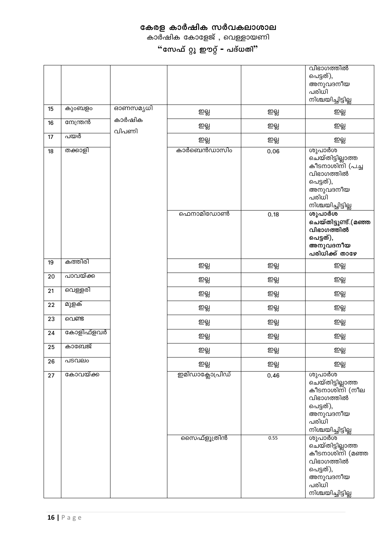കാർഷിക കോളേജ് , വെള്ളായണി

|    |           |                 |                 |      | വിഭാഗത്തിൽ<br>പെട്ടത്),<br>അനുവദനീയ<br>പരിധി<br>നിശ്ചയിച്ചിട്ടില്ല                                                   |
|----|-----------|-----------------|-----------------|------|----------------------------------------------------------------------------------------------------------------------|
| 15 | കുംബളം    | ഓണസമൃധി         | ஜ               | ஜ    | ஜது                                                                                                                  |
| 16 | സേന്ത്രൻ  | കാർഷിക<br>വിപണി | ஜ்              | ஜ்   | ஜ                                                                                                                    |
| 17 | പയർ       |                 | ஜத              | ஜத   | ஜது                                                                                                                  |
| 18 | തക്കാളി   |                 | കാർബെൻഡാസിം     | 0.06 | ശുപാർശ<br>ചെയ്തിട്ടില്ലാത്ത<br>കീടനാശിനി (പച്ച<br>വിഭാഗത്തിൽ<br>പെട്ടത്),<br>അനുവദനീയ<br>പരിധി<br>നിശ്ചയിച്ചിട്ടില്ല |
|    |           |                 | ഫെനാമിഡോൺ       | 0.18 | ശുപാർശ<br>ചെയ്തിട്ടുണ്ട്.(മഞ്ഞ<br>വിഭാഗത്തിൽ<br>പെട്ടത്),<br>അനുവദനീയ<br>പരിധിക്ക് താഴേ                              |
| 19 | കത്തിരി   |                 | ஜ               | ஜ    | ஜத                                                                                                                   |
| 20 | പാവയ്ക്ക  |                 | ஜ               | ஜத   | ഇല്ല                                                                                                                 |
| 21 | വെള്ളരി   |                 | ஜத              | ஜ    | ஜது                                                                                                                  |
| 22 | മുളക്     |                 | ஜ்              | ஜ்   | ஜ்                                                                                                                   |
| 23 | വെണ്ട     |                 | ஜத              | ஜத   | ஜத                                                                                                                   |
| 24 | കോളിഫ്ളവർ |                 | ஜத              | ஜத   | ஜது                                                                                                                  |
| 25 | കാബേജ്    |                 | ஜத              | ஜத   | ஜது                                                                                                                  |
| 26 | പടവലം     |                 | ஜத              | ஜ்   | ஜத                                                                                                                   |
| 27 | കോവയ്ക്ക  |                 | ഇമിഡാക്ലോപ്രിഡ് | 0.46 | ശുപാർശ<br>ചെയ്തിട്ടില്ലാത്ത<br>കീടനാശിനി (നീല<br>വിഭാഗത്തിൽ<br>പെട്ടത്),<br>അനുവദനീയ<br>പരിധി<br>നിശ്ചയിച്ചിട്ടില്ല  |
|    |           |                 | സൈഫ്ളൂത്രിൻ     | 0.55 | ശുപാർശ<br>ചെയ്തിട്ടില്ലാത്ത<br>കീടനാശിനി (മഞ്ഞ<br>വിഭാഗത്തിൽ<br>പെട്ടത്),<br>അനുവദനീയ<br>പരിധി<br>നിശ്ചയിച്ചിട്ടില്ല |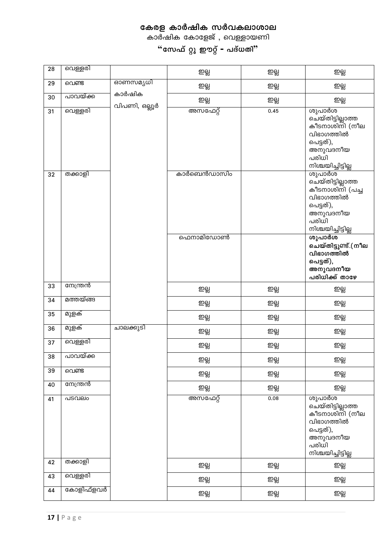കാർഷിക കോളേജ് , വെള്ളായണി

| 28 | വെള്ളരി   |                         | ஜ்          | ஜ    | ஜ்                                                                                                                   |
|----|-----------|-------------------------|-------------|------|----------------------------------------------------------------------------------------------------------------------|
| 29 | വെണ്ട     | ഓണസമൃധി                 | ஜத          | ஜ    | ஜ                                                                                                                    |
| 30 | പാവയ്ക്ക  | കാർഷിക<br>വിപണി, ഒല്ലൂർ | ஜத          | ஜத   | ஜ                                                                                                                    |
| 31 | വെള്ളരി   |                         | അസഫേറ്റ്    | 0.45 | ശുപാർശ<br>ചെയ്തിട്ടില്ലാത്ത<br>കീടനാശിനി (നീല<br>വിഭാഗത്തിൽ<br>പെട്ടത്),<br>അനുവദനീയ<br>പരിധി<br>നിശ്ചയിച്ചിട്ടില്ല  |
| 32 | തക്കാളി   |                         | കാർബെൻഡാസിം |      | ശുപാർശ<br>ചെയ്തിട്ടില്ലാത്ത<br>കീടനാശിനി (പച്ച<br>വിഭാഗത്തിൽ<br>പെട്ടത്),<br>അനുവദനീയ<br>പരിധി<br>നിശ്ചയിച്ചിട്ടില്ല |
|    |           |                         | ഫെനാമിഡോൺ   |      | ശുപാർശ<br>ചെയ്തിട്ടുണ്ട്.(നീല<br>വിഭാഗത്തിൽ<br>പെട്ടത്),<br>അനുവദനീയ<br>പരിധിക്ക് താഴേ                               |
| 33 | നേന്ത്രൻ  |                         | ஜ           | ஜ    | ஜ்                                                                                                                   |
| 34 | മത്തയ്ങ്ങ |                         | ஜ           | ஜ    | ஜ                                                                                                                    |
| 35 | മുളക്     |                         | ஜத          | ஜத   | ஜத                                                                                                                   |
| 36 | മുളക്     | ചാലക്കുടി               | ஜத          | ஜ்   | ஜ்                                                                                                                   |
| 37 | വെള്ളരി   |                         | ஜ           | ஜ்   | ஜ்                                                                                                                   |
| 38 | പാവയ്ക്ക  |                         | ഇല്ല        | ഇല്ല | ഇല്ല                                                                                                                 |
| 39 | വെണ്ട     |                         | ஜ           | ஜ்   | ஜ்                                                                                                                   |
| 40 | നേന്ത്രൻ  |                         | ஜ           | ஜ்   | ஜ்                                                                                                                   |
| 41 | പടവലം     |                         | അസഫേറ്റ്    | 0.08 | ശുപാർശ<br>ചെയ്തിട്ടില്ലാത്ത<br>കീടനാശിനി (നീല<br>വിഭാഗത്തിൽ<br>പെട്ടത്),<br>അനുവദനീയ<br>പരിധി<br>നിശ്ചയിച്ചിട്ടില്ല  |
| 42 | തക്കാളി   |                         | ஜ           | ஜ    | ஜ்                                                                                                                   |
| 43 | വെള്ളരി   |                         | ஜத          | ഇല്ല | ഇല്ല                                                                                                                 |
| 44 | കോളിഫ്ളവർ |                         | ஜ்          | ஜ்   | ஜ்                                                                                                                   |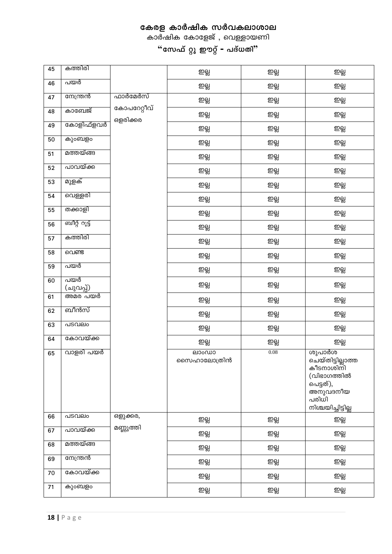| 45 | കത്തിരി          |                         | ஜ்                   | ஜ்   | ഇല്ല                                                                                                            |
|----|------------------|-------------------------|----------------------|------|-----------------------------------------------------------------------------------------------------------------|
| 46 | പയർ              |                         | ஜ                    | ஜ்   | ஜ்                                                                                                              |
| 47 | നേന്ത്രൻ         | ഫാർമേർസ്                | ஜ                    | ஜ    | ஜ்                                                                                                              |
| 48 | കാബേജ്           | കോപറേറ്റീവ്<br>ഒളരിക്കര | ஜ                    | ஜ்   | ஜ்                                                                                                              |
| 49 | കോളിഫ്ളവർ        |                         | ஜ                    | ഇല്ല | ஜ்                                                                                                              |
| 50 | കുംബളം           |                         | ஜ                    | ற்கி | ஜத                                                                                                              |
| 51 | മത്തയ്ങ്ങ        |                         | ஜ்                   | ஜ்   | ஜ்                                                                                                              |
| 52 | പാവയ്ക്ക         |                         | ஜ                    | ஜ    | ஜ்                                                                                                              |
| 53 | മുളക്            |                         | ஜ                    | ஜ்   | ஜ்                                                                                                              |
| 54 | വെള്ളരി          |                         | ஜ                    | ஜ்   | ஜ்                                                                                                              |
| 55 | തക്കാളി          |                         | ஜ                    | ഇല്ല | ற்கி                                                                                                            |
| 56 | ബീറ്റ് റൂട്ട്    |                         | ஜ்                   | ஜ    | ஜ்                                                                                                              |
| 57 | കത്തിരി          |                         | ஜ                    | ஜ    | ஜ்                                                                                                              |
| 58 | വെണ്ട            |                         | ஜ                    | ஜ்   | ஜ்                                                                                                              |
| 59 | പയർ              |                         | ஜ்                   | ஜ்   | ஜ                                                                                                               |
| 60 | പയർ<br>(ചുവപ്പ്) |                         | ஜத                   | ஜ்   | ஜ்                                                                                                              |
| 61 | അമര പയർ          |                         | ஜ்                   | ஜ்   | ஜத                                                                                                              |
| 62 | ബീൻസ്            |                         | ஜ                    | ഇല്ല | ஜ்                                                                                                              |
| 63 | പടവലം            |                         | ஜ                    | ஜ    | ஜ்                                                                                                              |
| 64 | കോവയ്ക്ക         |                         | ஜ்                   | ஜ்   | ஜ                                                                                                               |
| 65 | വാളരി പയർ        |                         | ലാംഡാ<br>സൈഹാലോത്രിൻ | 0.08 | ശുപാർശ<br>ചെയ്തിട്ടില്ലാത്ത<br>കീടനാശിനി<br>(വിഭാഗത്തിൽ<br>പെട്ടത്),<br>അനുവദനീയ<br>പരിധി<br>നിശ്ചയിച്ചിട്ടില്ല |
| 66 | പടവലം            | ഒളുക്കര,                | ஜ்                   | ஜ    | ஜத                                                                                                              |
| 67 | പാവയ്ക്ക         | മണ്ണുത്തി               | ஜ                    | ஜத   | ஜத                                                                                                              |
| 68 | മത്തയ്ങ്ങ        |                         | ஜ                    | ஜ    | ஜ                                                                                                               |
| 69 | നേന്ത്രൻ         |                         | ஜ                    | ஜது  | ஜத                                                                                                              |
| 70 | കോവയ്ക്ക         |                         | ஜ                    | ஜ    | ஜ்                                                                                                              |
| 71 | കുംബളം           |                         | ஜ்                   | ஜ    | ஜ்                                                                                                              |

കാർഷിക കോളേജ് , വെള്ളായണി

"സേഫ് റ്റു ഈറ്റ് – പദ്ധതി"

┑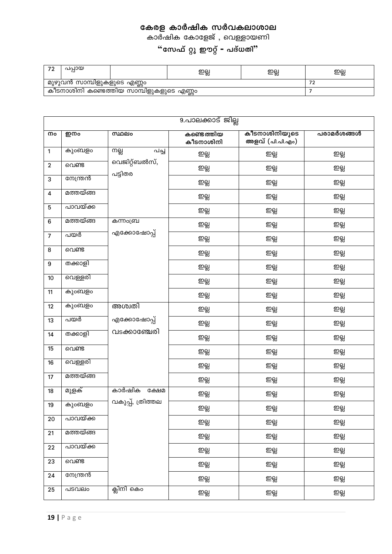കാർഷിക കോളേജ് , വെള്ളായണി

| $\overline{\phantom{a}}$ | പപായ                                       |  | ഇല്ല | ഇല്ല | ഩല<br>≃ನಾ |  |  |
|--------------------------|--------------------------------------------|--|------|------|-----------|--|--|
|                          | <sub>।</sub> മുഴുവൻ സാമ്പിളുകളുടെ എണ്ണം    |  |      |      |           |  |  |
|                          | , കീടനാശിനി കണ്ടെത്തിയ സാമ്പിളുകളുടെ എണ്ണം |  |      |      |           |  |  |

|                         | 9.പാലക്കാട് ജില്ല |                          |                         |                                  |            |  |  |
|-------------------------|-------------------|--------------------------|-------------------------|----------------------------------|------------|--|--|
| നം                      | ഇനം               | സ്ഥലം                    | കണ്ടെത്തിയ<br>കീടനാശിനി | കീടനാശിനിയുടെ<br>അളവ് (പി.പി.എം) | പരാമർശങ്ങൾ |  |  |
| $\mathbf{1}$            | കുംബളം            | നല്ല<br>പച്ച             | ഇല്ല                    | ஜ                                | ஜ்         |  |  |
| $\boldsymbol{2}$        | വെണ്ട             | വെജിറ്റ്ബൽസ്,<br>പട്ടിതര | ഇല്ല                    | ஜ்                               | ഇല്ല       |  |  |
| 3                       | നേന്ത്രൻ          |                          | ஜ்                      | ஜ்                               | ഇല്ല       |  |  |
| $\overline{\mathbf{4}}$ | മത്തയ്ങ്ങ         |                          | ஜ்                      | ஜ்                               | ഇല്ല       |  |  |
| $\overline{5}$          | പാവയ്ക്ക          |                          | ஜ                       | ஜ                                | ഇല്ല       |  |  |
| 6                       | മത്തയ്ങ്ങ         | കന്നംബ്ര                 | ഇല്ല                    | ஜ்                               | ഇല്ല       |  |  |
| $\overline{7}$          | പയർ               | എക്കോഷോപ്പ്              | ഇല്ല                    | ஜத                               | ഇല്ല       |  |  |
| 8                       | വെണ്ട             |                          | ഇല്ല                    | ஜ்                               | ഇല്ല       |  |  |
| $\boldsymbol{9}$        | തക്കാളി           |                          | ஜ்                      | ஜ்                               | ഇല്ല       |  |  |
| 10                      | വെള്ളരി           |                          | ஜ்                      | ஜ்                               | ഇല്ല       |  |  |
| 11                      | കുംബളം            |                          | ஜ்                      | ஜ                                | ஜ்         |  |  |
| 12                      | കുംബളം            | അശ്വതി                   | ஜ்                      | ஜ்                               | ഇല്ല       |  |  |
| 13                      | പയർ               | എക്കോഷോപ്പ്              | ഇല്ല                    | ஜத                               | ഇല്ല       |  |  |
| 14                      | തക്കാളി           | വടക്കാഞ്ചേരി             | ஜ்                      | ஜ்                               | ഇല്ല       |  |  |
| 15                      | വെണ്ട             |                          | ஜ்                      | ஜ்                               | ஜ          |  |  |
| 16                      | വെള്ളരി           |                          | ஜ்                      | ஜத                               | ഇല്ല       |  |  |
| 17                      | മത്തയ്ങ്ങ         |                          | ஜ்                      | ஜத                               | ഇല്ല       |  |  |
| 18                      | മുളക്             | കാർഷിക<br>ക്ഷേമ          | ஜ்                      | ஜ்                               | ഇല്ല       |  |  |
| 19                      | കുംബളം            | വകുപ്പ്, ത്രിത്തല        | ഇല്ല                    | ഇല്ല                             | ഇല്ല       |  |  |
| 20                      | പാവയ്ക്ക          |                          | ஜ்                      | ஜ்                               | ഇല്ല       |  |  |
| 21                      | മത്തയ്ങ്ങ         |                          | ஜ்                      | ஜ்                               | ஜ்         |  |  |
| 22                      | പാവയ്ക്ക          |                          | ஜ்                      | ഇല്ല                             | ஜத         |  |  |
| 23                      | വെണ്ട             |                          | ഇല്ല                    | ஜ                                | ഇല്ല       |  |  |
| 24                      | നേന്ത്രൻ          |                          | ஜ்                      | ஜ்                               | ഇല്ല       |  |  |
| 25                      | പടവലം             | ക്ലിനി കെം               | ഇല്ല                    | ஜ                                | ஜ்         |  |  |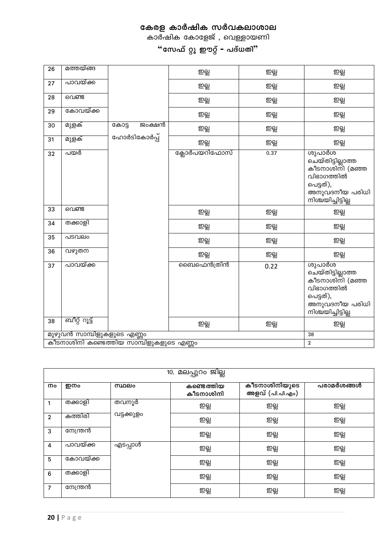|                | 10. മലപ്പുറം ജില്ല |            |                         |                                  |            |  |  |  |
|----------------|--------------------|------------|-------------------------|----------------------------------|------------|--|--|--|
| നം             | ഇനം                | സ്ഥലം      | കണ്ടെത്തിയ<br>കീടനാശിനി | കീടനാശിനിയുടെ<br>അളവ് (പി.പി.എം) | പരാമർശങ്ങൾ |  |  |  |
| 1              | തക്കാളി            | തവനൂർ      | ഇല്ല                    | ഇല്ല                             | ஜத         |  |  |  |
| $\overline{2}$ | കത്തിരി            | വട്ടക്കുളം | ഇല്ല                    | ഇല്ല                             | ஜத         |  |  |  |
| 3              | നേന്ത്രൻ           |            | ഇല്ല                    | ഇല്ല                             | ஜ          |  |  |  |
| 4              | പാവയ്ക്ക           | എടപ്പാൾ    | ഇല്ല                    | ഇല്ല                             | ஜ்         |  |  |  |
| 5              | കോവയ്ക്ക           |            | ഇല്ല                    | ഇല്ല                             | ஜத         |  |  |  |
| 6              | തക്കാളി            |            | ഇല്ല                    | ഇല്ല                             | ஜத         |  |  |  |
| $\overline{7}$ | നേന്ത്രൻ           |            | ஜத                      | ஜத                               | ஜ          |  |  |  |

| 26 | മത്തയ്ങ്ങ                  |                |        | ഇല്ല          | ഇല്ല | ഇല്ല                                                                                                              |
|----|----------------------------|----------------|--------|---------------|------|-------------------------------------------------------------------------------------------------------------------|
| 27 | പാവയ്ക്ക                   |                |        | ஜ             | ஜ்   | ற்கி                                                                                                              |
| 28 | വെണ്ട                      |                |        | ஜ             | ഇല്ല | ஜ                                                                                                                 |
| 29 | കോവയ്ക്ക                   |                |        | ഇല്ല          | ഇല്ല | ற்கி                                                                                                              |
| 30 | മുളക്                      | കോട്ട          | ജംക്ഷൻ | ஜ             | ஜ    | ஜ                                                                                                                 |
| 31 | മുളക്                      | ഹോർടികോർപ്പ്   |        | ഇല്ല          | ஜ    | ഇല്ല                                                                                                              |
| 32 | പയർ                        |                |        | ക്ലോർപയറിഫോസ് | 0.37 | ശുപാർശ<br>ചെയ്തിട്ടില്ലാത്ത<br>കീടനാശിനി (മഞ്ഞ<br>വിഭാഗത്തിൽ<br>പെട്ടത്),<br>അനുവദനീയ പരിധി<br>നിശ്ചയിച്ചിട്ടില്ല |
| 33 | വെണ്ട                      |                |        | ஜ்            | ஜ்   | ஜ்                                                                                                                |
| 34 | തക്കാളി                    |                |        | ஜ             | ஜ    | ஜ்                                                                                                                |
| 35 | പടവലം                      |                |        | ഇല്ല          | ഇല്ല | ஜ்                                                                                                                |
| 36 | വഴുത്ത                     |                |        | ஜ்            | ஜ்   | ஜ                                                                                                                 |
| 37 | പാവയ്ക്ക                   |                |        | മൈഫെൻത്രിൻ    | 0.22 | ശുപാർശ<br>ചെയ്തിട്ടില്ലാത്ത<br>കീടനാശിനി (മഞ്ഞ<br>വിഭാഗത്തിൽ<br>പെട്ടത്),<br>അനുവദനീയ പരിധി<br>നിശ്ചയിച്ചിട്ടില്ല |
| 38 | ബീറ്റ് റൂട്ട്              |                |        | ஜ             | ஜ    | ஜத                                                                                                                |
|    | മുഴുവൻ സാമ്പിളുകളുടെ എണ്ണം |                |        |               |      | 38                                                                                                                |
|    |                            | $\overline{2}$ |        |               |      |                                                                                                                   |

കേരള കാർഷിക സർവകലാശാല കാർഷിക കോളേജ് , വെള്ളായണി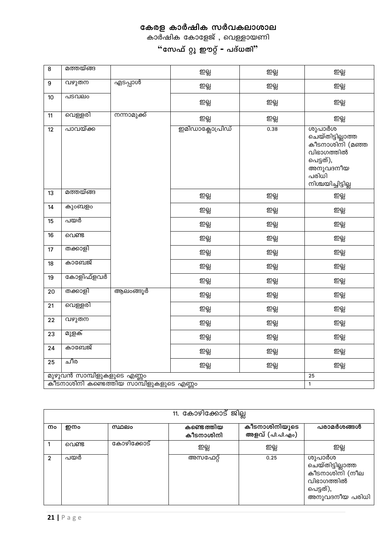കാർഷിക കോളേജ് , വെള്ളായണി

| $\bf 8$ | മത്തയ്ങ്ങ                  |              | ஜ               | ஜ    | ஜ்                                                                                                                   |
|---------|----------------------------|--------------|-----------------|------|----------------------------------------------------------------------------------------------------------------------|
| 9       | വഴുതന                      | എടപ്പാൾ      | ஜ்              | ஜ்   | ஜ்                                                                                                                   |
| 10      | പടവലം                      |              | ஜ               | ஜ    | ஜ்                                                                                                                   |
| 11      | വെള്ളരി                    | നന്നാമുക്ക്  | ஜ்              | ഇല്ല | ஜ                                                                                                                    |
| 12      | പാവയ്ക്ക                   |              | ഇമിഡാക്ലോപ്രിഡ് | 0.38 | ശുപാർശ<br>ചെയ്തിട്ടില്ലാത്ത<br>കീടനാശിനി (മഞ്ഞ<br>വിഭാഗത്തിൽ<br>പെട്ടത്),<br>അനുവദനീയ<br>പരിധി<br>നിശ്ചയിച്ചിട്ടില്ല |
| 13      | മത്തയ്ങ്ങ                  |              | ஜ்              | ஜ    | ஜ்                                                                                                                   |
| 14      | കുംബളം                     |              | ஜ               | ஜ    | ஜ்                                                                                                                   |
| 15      | പയർ                        |              | ஜ               | ஜ    | ஜ்                                                                                                                   |
| 16      | വെണ്ട                      |              | ற்கி            | ஜ    | ஜ்                                                                                                                   |
| 17      | തക്കാളി                    |              | ஜ               | ഇല്ല | ஜ                                                                                                                    |
| 18      | കാബേജ്                     |              | ഇല്ല            | ஜ    | ஜ்                                                                                                                   |
| 19      | കോളിഫ്ളവർ                  |              | ஜ               | ஜ    | ஜ்                                                                                                                   |
| 20      | തക്കാളി                    | ആലംങ്ങൂർ     | ഇല്ല            | ஜ    | ஜ்                                                                                                                   |
| 21      | വെള്ളരി                    |              | ஜ்              | ഇല്ല | ஜ                                                                                                                    |
| 22      | വഴുതന                      |              | ஜ்              | ஜ    | ஜ                                                                                                                    |
| 23      | മുളക്                      |              | ஜ               | ஜ    | ஜ்                                                                                                                   |
| 24      | കാബേജ്                     |              | ഇല്ല            | ஜ    | ஜ்                                                                                                                   |
| 25      | ചീര                        |              | ഇല്ല            | ഇല്ല | ஜ                                                                                                                    |
|         | മുഴുവൻ സാമ്പിളുകളുടെ എണ്ണം |              |                 |      | 25                                                                                                                   |
|         |                            | $\mathbf{1}$ |                 |      |                                                                                                                      |

|    | 11. കോഴിക്കോട് ജില്ല |            |                         |                                  |                                                                                            |  |  |  |
|----|----------------------|------------|-------------------------|----------------------------------|--------------------------------------------------------------------------------------------|--|--|--|
| നം | ഇനം                  | സ്ഥലം      | കണ്ടെത്തിയ<br>കീടനാശിനി | കീടനാശിനിയുടെ<br>അളവ് (പി.പി.എം) | പരാമർശങ്ങൾ                                                                                 |  |  |  |
|    | വെണ്ട                | കോഴിക്കോട് | ഇല്ല                    | ஜத                               | ஜ்                                                                                         |  |  |  |
| 2  | പയർ                  |            | അസഫേറ്റ്                | 0.25                             | ശുപാർശ<br>ചെയ്തിട്ടില്ലാത്ത<br>കീടനാശിനി (നീല<br>വിഭാഗത്തിൽ<br>പെട്ടത്),<br>അനുവദനീയ പരിധി |  |  |  |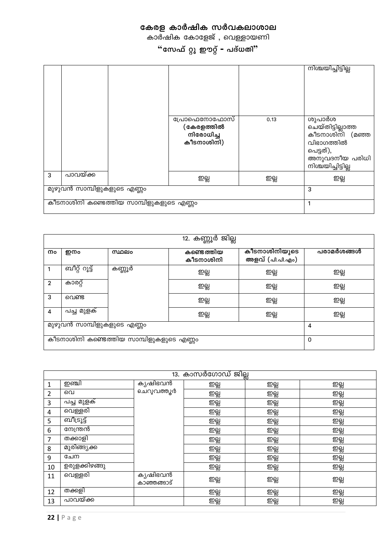കാർഷിക കോളേജ് , വെള്ളായണി

"സേഫ് റ്റു ഈറ്റ് – പദ്ധതി"

|   |                                          |                                                       |      | നിശ്ചയിച്ചിട്ടില്ല                                                                                                |
|---|------------------------------------------|-------------------------------------------------------|------|-------------------------------------------------------------------------------------------------------------------|
|   |                                          | പ്രോഫെനോഫോസ്<br>(കേരളത്തിൽ<br>നിരോധിച്ച<br>കീടനാശിനി) | 0.13 | ശുപാർശ<br>ചെയ്തിട്ടില്ലാത്ത<br>കീടനാശിനി (മഞ്ഞ<br>വിഭാഗത്തിൽ<br>പെട്ടത്),<br>അനുവദനീയ പരിധി<br>നിശ്ചയിച്ചിട്ടില്ല |
| 3 | പാവയ്ക്ക                                 | ஜத                                                    | ஜத   | ഇല്ല                                                                                                              |
|   | മുഴുവൻ സാമ്പിളുകളുടെ എണ്ണം               | 3                                                     |      |                                                                                                                   |
|   | കീടനാശിനി കണ്ടെത്തിയ സാമ്പിളുകളുടെ എണ്ണം |                                                       |      |                                                                                                                   |

| 12. കണ്ണൂർ ജില്ല |                                          |        |                         |                                  |            |  |
|------------------|------------------------------------------|--------|-------------------------|----------------------------------|------------|--|
| നം               | ഇനം                                      | സ്ഥലം  | കണ്ടെത്തിയ<br>കീടനാശിനി | കീടനാശിനിയുടെ<br>അളവ് (പി.പി.എം) | പരാമർശങ്ങൾ |  |
|                  | ബീറ്റ് റൂട്ട്                            | കണ്ണൂർ | ഇല്ല                    | ഇല്ല                             | ഇല്ല       |  |
| $\overline{2}$   | കാരറ്റ്                                  |        | ஜ                       | ஜத                               | ஜ          |  |
| 3                | വെണ്ട                                    |        | ஜ                       | ஜ                                | ஜ          |  |
| 4                | പച്ച മുളക്                               |        | ஜ                       | ஜத                               | ஜ          |  |
|                  | മുഴുവൻ സാമ്പിളുകളുടെ എണ്ണം               | 4      |                         |                                  |            |  |
|                  | കീടനാശിനി കണ്ടെത്തിയ സാമ്പിളുകളുടെ എണ്ണം | 0      |                         |                                  |            |  |

|    | 13. കാസർഗോഡ് ജില്ല |                         |      |      |      |  |  |  |
|----|--------------------|-------------------------|------|------|------|--|--|--|
| 1  | ற்று               | ക്യഷിഭവൻ                | ഇല്ല | ஜ்   | ஜத   |  |  |  |
| 2  | വെ                 | ചെറുവത്തൂർ              | ഇല്ല | ஜ்   | ഇല്ല |  |  |  |
| 3  | പച്ച മുളക്         |                         | ஜ்   | ஜத   | ஜ்   |  |  |  |
| 4  | വെള്ളരി            |                         | ஜ    | ஜத   | ஜ    |  |  |  |
| 5  | ബീട്രൂട്ട്         |                         | ഇല്ല | ஜத   | ஜ்   |  |  |  |
| 6  | നേന്ത്രൻ           |                         | ஜத   | ஜத   | ஜ    |  |  |  |
| 7  | തക്കാളി            |                         | ஜத   | ஜத   | ஜ    |  |  |  |
| 8  | മുരിങ്ങ്യക്ക       |                         | ஜத   | ஜத   | ஜ    |  |  |  |
| 9  | ചേന                |                         | ஜத   | ஜத   | ஜ    |  |  |  |
| 10 | ഉരുളക്കിഴങ്ങു      |                         | ஜத   | ஜத   | ஜ    |  |  |  |
| 11 | വെള്ളരി            | ക്യഷിഭവൻ<br>കാഞ്ഞങ്ങാട് | ഇല്ല | ஜத   | ഇല്ല |  |  |  |
| 12 | തക്കളി             |                         | ഇല്ല | ஜத   | ஜ    |  |  |  |
| 13 | പാവയ്ക്ക           |                         | ഇല്ല | ഇല്ല | ഇല്ല |  |  |  |

22 |  $P$  a g e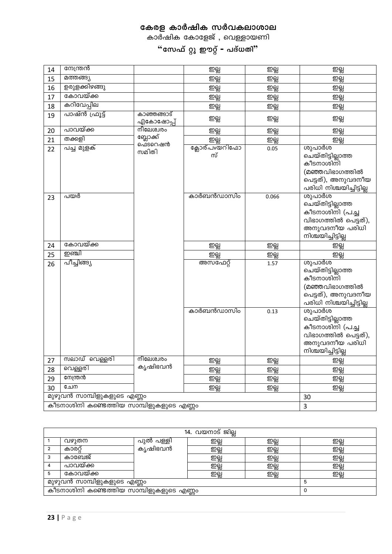കാർഷിക കോളേജ് , വെള്ളായണി

 $\cdot$ "സേഫ് റ്റു ഈറ്റ് <del>-</del> പദ്ധതി"

| 14 | നേന്ത്രൻ                                                                    |                          | ஜ                                                  | ஜ்          | ஜ                                                                                                                  |
|----|-----------------------------------------------------------------------------|--------------------------|----------------------------------------------------|-------------|--------------------------------------------------------------------------------------------------------------------|
| 15 | മത്തങ്ങ്യ                                                                   |                          | ஜ                                                  | ഇല്ല        | ஜ                                                                                                                  |
| 16 | ഉരുളക്കിഴങ്ങു                                                               |                          | ஜ                                                  | ஜ           | ஜ                                                                                                                  |
| 17 | കോവയ്ക്ക                                                                    |                          | ஜ                                                  | ஜ்          | ஜ                                                                                                                  |
| 18 | കറിവേപ്പില                                                                  |                          | ഇല്ല                                               | ஜத          | ഇല്ല                                                                                                               |
| 19 | പാഷ്ൻ ഫ്രൂട്ട്                                                              | കാഞ്ഞങ്ങാട്<br>എകോഷോപ്പ് | ഇല്ല                                               | ഇല്ല        | ഇല്ല                                                                                                               |
| 20 | പാവയ്ക്ക                                                                    | നീലേശ്വരം                | ஜ                                                  | ஜ்          | ஜ்                                                                                                                 |
| 21 | തക്കളി                                                                      | ബ്ലോക്ക്<br>ഫെടറെഷൻ      | ஜ                                                  | <u>ഇല്ല</u> | ஜ                                                                                                                  |
| 22 | പച്ച മുളക്                                                                  | സമിതി                    | ക്ലോര്പvയറിഫോ<br>സ്                                | 0.05        | ശുപാർശ<br>ചെയ്തിട്ടില്ലാത്ത<br>കീടനാശിനി<br>(മഞ്ഞവിഭാഗത്തിൽ<br>പെട്ടത്), അനുവദനീയ<br>പരിധി നിശ്ചയിച്ചിട്ടില്ല      |
| 23 | പയർ                                                                         |                          | കാർബൻഡാസിം                                         | 0.066       | ശുപാർശ<br>ചെയ്തിട്ടില്ലാത്ത<br>കീടനാശിനി (പച്ച<br>വിഭാഗത്തിൽ പെട്ടത്),<br>അനുവദനീയ പരിധി                           |
|    |                                                                             |                          |                                                    |             |                                                                                                                    |
| 24 | കോവയ്ക്ക                                                                    |                          |                                                    |             | നിശ്ചയിച്ചിട്ടില്ല                                                                                                 |
| 25 | ற்ணி                                                                        |                          | ஜத                                                 | ஜ           | ஜத                                                                                                                 |
| 26 | പീച്ചിങ്ങ്യ                                                                 |                          | ஜ<br>അസഫേറ്റ്                                      | ஜ்<br>1.57  | ஜ<br>ശുപാർശ<br>ചെയ്തിട്ടില്ലാത്ത<br>കീടനാശിനി<br>(മഞ്ഞവിഭാഗത്തിൽ<br>പെട്ടത്), അനുവദനീയ<br>പരിധി നിശ്ചയിച്ചിട്ടില്ല |
|    |                                                                             |                          | കാർബൻഡാസിം                                         | 0.13        | ശുപാർശ<br>ചെയ്തിട്ടില്ലാത്ത<br>കീടനാശിനി (പച്ച<br>വിഭാഗത്തിൽ പെട്ടത്),<br>അനുവദനീയ പരിധി                           |
| 27 | സലാഡ് വ <u>െള്</u> ളരി                                                      | നീലേശ്വരം                |                                                    |             | നിശ്ചയിച്ചിട്ടില്ല                                                                                                 |
| 28 | വെള്ളരി                                                                     | കൃഷിഭവൻ                  | $\underline{\mathfrak{D}}\underline{\mathfrak{D}}$ | <u>ഇല്ല</u> | <u>ഇല്ല</u>                                                                                                        |
| 29 | നേന്ത്രൻ                                                                    |                          | ஜ                                                  | ஜ்          | ஜ                                                                                                                  |
| 30 | ചേന                                                                         |                          | ஜ<br>ஜ்                                            | ஜ்<br>ഇല്ല  | ഇല്ല<br>ഇല്ല                                                                                                       |
|    | മുഴുവൻ സാമ്പിളുകളുടെ എണ്ണം<br>.<br>കീടനാശിനി കണ്ടെത്തിയ സാമ്പിളുകളുടെ എണ്ണം |                          |                                                    |             | 30                                                                                                                 |

|                                          | <u>14. വയനാട് ജില്ല</u> |           |    |      |      |  |  |  |
|------------------------------------------|-------------------------|-----------|----|------|------|--|--|--|
|                                          | വഴുതന                   | പുൽ പള്ളി | ஜத | ഇല്ല | ഇല്ല |  |  |  |
|                                          | കാരറ                    | കൃഷിഭവൻ   | ஜத | ஜ    | ஜ்   |  |  |  |
| 3                                        | കാബേജ്                  |           | ஜ் | ஜத   | ஜ    |  |  |  |
|                                          | പാവയ്ക്ക                |           | ஜ  | ஜ    | ഇല്ല |  |  |  |
| 5                                        | കോവയ്ക്ക                |           | ஜத | ஜத   | ஜ்   |  |  |  |
| മുഴുവൻ സാമ്പിളുകളുടെ എണ്ണം               |                         |           |    |      |      |  |  |  |
| കീടനാശിനി കണ്ടെത്തിയ സാമ്പിളുകളുടെ എണ്ണം |                         |           |    |      |      |  |  |  |